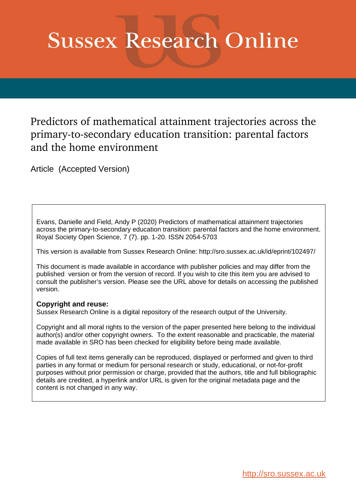# **Sussex Research Online**

Predictors of mathematical attainment trajectories across the primary-to-secondary education transition: parental factors and the home environment

Article (Accepted Version)

Evans, Danielle and Field, Andy P (2020) Predictors of mathematical attainment trajectories across the primary-to-secondary education transition: parental factors and the home environment. Royal Society Open Science, 7 (7). pp. 1-20. ISSN 2054-5703

This version is available from Sussex Research Online: http://sro.sussex.ac.uk/id/eprint/102497/

This document is made available in accordance with publisher policies and may differ from the published version or from the version of record. If you wish to cite this item you are advised to consult the publisher's version. Please see the URL above for details on accessing the published version.

### **Copyright and reuse:**

Sussex Research Online is a digital repository of the research output of the University.

Copyright and all moral rights to the version of the paper presented here belong to the individual author(s) and/or other copyright owners. To the extent reasonable and practicable, the material made available in SRO has been checked for eligibility before being made available.

Copies of full text items generally can be reproduced, displayed or performed and given to third parties in any format or medium for personal research or study, educational, or not-for-profit purposes without prior permission or charge, provided that the authors, title and full bibliographic details are credited, a hyperlink and/or URL is given for the original metadata page and the content is not changed in any way.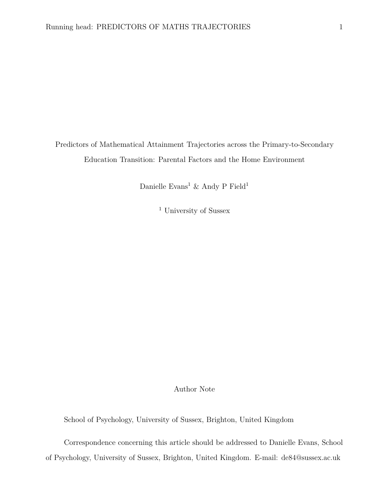Predictors of Mathematical Attainment Trajectories across the Primary-to-Secondary Education Transition: Parental Factors and the Home Environment

Danielle  $\rm Evans^1$  & Andy P $\rm Field^1$ 

<sup>1</sup> University of Sussex

Author Note

School of Psychology, University of Sussex, Brighton, United Kingdom

Correspondence concerning this article should be addressed to Danielle Evans, School of Psychology, University of Sussex, Brighton, United Kingdom. E-mail: de84@sussex.ac.uk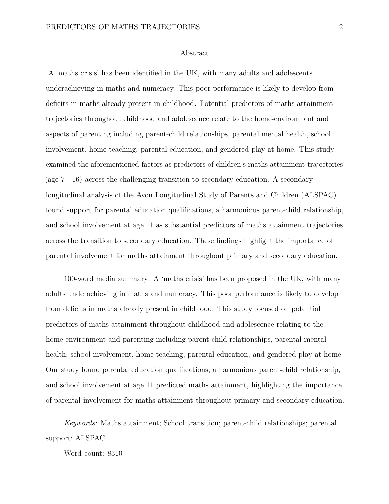#### Abstract

A 'maths crisis' has been identified in the UK, with many adults and adolescents underachieving in maths and numeracy. This poor performance is likely to develop from deficits in maths already present in childhood. Potential predictors of maths attainment trajectories throughout childhood and adolescence relate to the home-environment and aspects of parenting including parent-child relationships, parental mental health, school involvement, home-teaching, parental education, and gendered play at home. This study examined the aforementioned factors as predictors of children's maths attainment trajectories (age 7 - 16) across the challenging transition to secondary education. A secondary longitudinal analysis of the Avon Longitudinal Study of Parents and Children (ALSPAC) found support for parental education qualifications, a harmonious parent-child relationship, and school involvement at age 11 as substantial predictors of maths attainment trajectories across the transition to secondary education. These findings highlight the importance of parental involvement for maths attainment throughout primary and secondary education.

100-word media summary: A 'maths crisis' has been proposed in the UK, with many adults underachieving in maths and numeracy. This poor performance is likely to develop from deficits in maths already present in childhood. This study focused on potential predictors of maths attainment throughout childhood and adolescence relating to the home-environment and parenting including parent-child relationships, parental mental health, school involvement, home-teaching, parental education, and gendered play at home. Our study found parental education qualifications, a harmonious parent-child relationship, and school involvement at age 11 predicted maths attainment, highlighting the importance of parental involvement for maths attainment throughout primary and secondary education.

*Keywords:* Maths attainment; School transition; parent-child relationships; parental support; ALSPAC

Word count: 8310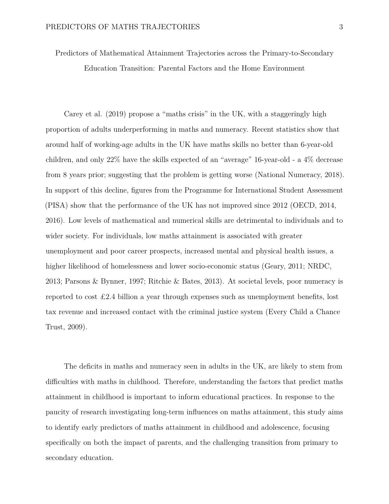Predictors of Mathematical Attainment Trajectories across the Primary-to-Secondary Education Transition: Parental Factors and the Home Environment

Carey et al. (2019) propose a "maths crisis" in the UK, with a staggeringly high proportion of adults underperforming in maths and numeracy. Recent statistics show that around half of working-age adults in the UK have maths skills no better than 6-year-old children, and only 22% have the skills expected of an "average" 16-year-old - a 4% decrease from 8 years prior; suggesting that the problem is getting worse (National Numeracy, 2018). In support of this decline, figures from the Programme for International Student Assessment (PISA) show that the performance of the UK has not improved since 2012 (OECD, 2014, 2016). Low levels of mathematical and numerical skills are detrimental to individuals and to wider society. For individuals, low maths attainment is associated with greater unemployment and poor career prospects, increased mental and physical health issues, a higher likelihood of homelessness and lower socio-economic status (Geary, 2011; NRDC, 2013; Parsons & Bynner, 1997; Ritchie & Bates, 2013). At societal levels, poor numeracy is reported to cost £2.4 billion a year through expenses such as unemployment benefits, lost tax revenue and increased contact with the criminal justice system (Every Child a Chance Trust, 2009).

The deficits in maths and numeracy seen in adults in the UK, are likely to stem from difficulties with maths in childhood. Therefore, understanding the factors that predict maths attainment in childhood is important to inform educational practices. In response to the paucity of research investigating long-term influences on maths attainment, this study aims to identify early predictors of maths attainment in childhood and adolescence, focusing specifically on both the impact of parents, and the challenging transition from primary to secondary education.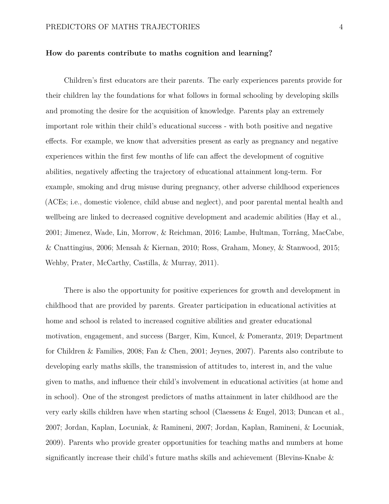#### **How do parents contribute to maths cognition and learning?**

Children's first educators are their parents. The early experiences parents provide for their children lay the foundations for what follows in formal schooling by developing skills and promoting the desire for the acquisition of knowledge. Parents play an extremely important role within their child's educational success - with both positive and negative effects. For example, we know that adversities present as early as pregnancy and negative experiences within the first few months of life can affect the development of cognitive abilities, negatively affecting the trajectory of educational attainment long-term. For example, smoking and drug misuse during pregnancy, other adverse childhood experiences (ACEs; i.e., domestic violence, child abuse and neglect), and poor parental mental health and wellbeing are linked to decreased cognitive development and academic abilities (Hay et al., 2001; Jimenez, Wade, Lin, Morrow, & Reichman, 2016; Lambe, Hultman, Torrång, MacCabe, & Cnattingius, 2006; Mensah & Kiernan, 2010; Ross, Graham, Money, & Stanwood, 2015; Wehby, Prater, McCarthy, Castilla, & Murray, 2011).

There is also the opportunity for positive experiences for growth and development in childhood that are provided by parents. Greater participation in educational activities at home and school is related to increased cognitive abilities and greater educational motivation, engagement, and success (Barger, Kim, Kuncel, & Pomerantz, 2019; Department for Children & Families, 2008; Fan & Chen, 2001; Jeynes, 2007). Parents also contribute to developing early maths skills, the transmission of attitudes to, interest in, and the value given to maths, and influence their child's involvement in educational activities (at home and in school). One of the strongest predictors of maths attainment in later childhood are the very early skills children have when starting school (Claessens & Engel, 2013; Duncan et al., 2007; Jordan, Kaplan, Locuniak, & Ramineni, 2007; Jordan, Kaplan, Ramineni, & Locuniak, 2009). Parents who provide greater opportunities for teaching maths and numbers at home significantly increase their child's future maths skills and achievement (Blevins-Knabe &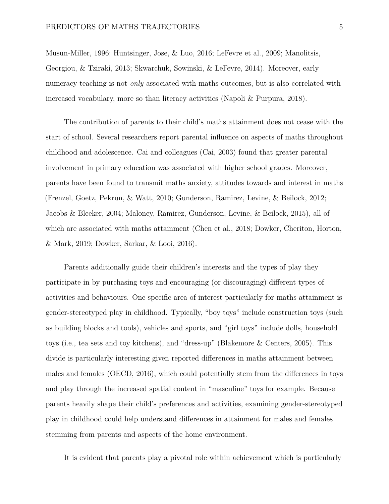Musun-Miller, 1996; Huntsinger, Jose, & Luo, 2016; LeFevre et al., 2009; Manolitsis, Georgiou, & Tziraki, 2013; Skwarchuk, Sowinski, & LeFevre, 2014). Moreover, early numeracy teaching is not *only* associated with maths outcomes, but is also correlated with increased vocabulary, more so than literacy activities (Napoli & Purpura, 2018).

The contribution of parents to their child's maths attainment does not cease with the start of school. Several researchers report parental influence on aspects of maths throughout childhood and adolescence. Cai and colleagues (Cai, 2003) found that greater parental involvement in primary education was associated with higher school grades. Moreover, parents have been found to transmit maths anxiety, attitudes towards and interest in maths (Frenzel, Goetz, Pekrun, & Watt, 2010; Gunderson, Ramirez, Levine, & Beilock, 2012; Jacobs & Bleeker, 2004; Maloney, Ramirez, Gunderson, Levine, & Beilock, 2015), all of which are associated with maths attainment (Chen et al., 2018; Dowker, Cheriton, Horton, & Mark, 2019; Dowker, Sarkar, & Looi, 2016).

Parents additionally guide their children's interests and the types of play they participate in by purchasing toys and encouraging (or discouraging) different types of activities and behaviours. One specific area of interest particularly for maths attainment is gender-stereotyped play in childhood. Typically, "boy toys" include construction toys (such as building blocks and tools), vehicles and sports, and "girl toys" include dolls, household toys (i.e., tea sets and toy kitchens), and "dress-up" (Blakemore & Centers, 2005). This divide is particularly interesting given reported differences in maths attainment between males and females (OECD, 2016), which could potentially stem from the differences in toys and play through the increased spatial content in "masculine" toys for example. Because parents heavily shape their child's preferences and activities, examining gender-stereotyped play in childhood could help understand differences in attainment for males and females stemming from parents and aspects of the home environment.

It is evident that parents play a pivotal role within achievement which is particularly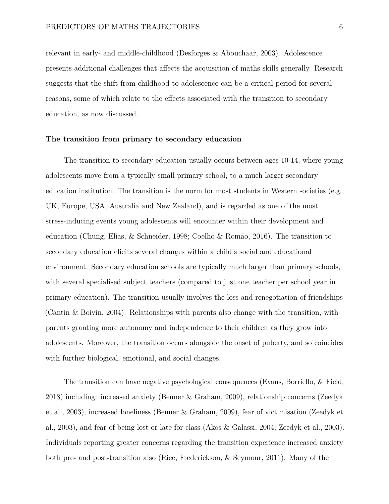relevant in early- and middle-childhood (Desforges & Abouchaar, 2003). Adolescence presents additional challenges that affects the acquisition of maths skills generally. Research suggests that the shift from childhood to adolescence can be a critical period for several reasons, some of which relate to the effects associated with the transition to secondary education, as now discussed.

#### **The transition from primary to secondary education**

The transition to secondary education usually occurs between ages 10-14, where young adolescents move from a typically small primary school, to a much larger secondary education institution. The transition is the norm for most students in Western societies (e.g., UK, Europe, USA, Australia and New Zealand), and is regarded as one of the most stress-inducing events young adolescents will encounter within their development and education (Chung, Elias, & Schneider, 1998; Coelho & Romão, 2016). The transition to secondary education elicits several changes within a child's social and educational environment. Secondary education schools are typically much larger than primary schools, with several specialised subject teachers (compared to just one teacher per school year in primary education). The transition usually involves the loss and renegotiation of friendships (Cantin & Boivin, 2004). Relationships with parents also change with the transition, with parents granting more autonomy and independence to their children as they grow into adolescents. Moreover, the transition occurs alongside the onset of puberty, and so coincides with further biological, emotional, and social changes.

The transition can have negative psychological consequences (Evans, Borriello, & Field, 2018) including: increased anxiety (Benner & Graham, 2009), relationship concerns (Zeedyk et al., 2003), increased loneliness (Benner & Graham, 2009), fear of victimisation (Zeedyk et al., 2003), and fear of being lost or late for class (Akos & Galassi, 2004; Zeedyk et al., 2003). Individuals reporting greater concerns regarding the transition experience increased anxiety both pre- and post-transition also (Rice, Frederickson, & Seymour, 2011). Many of the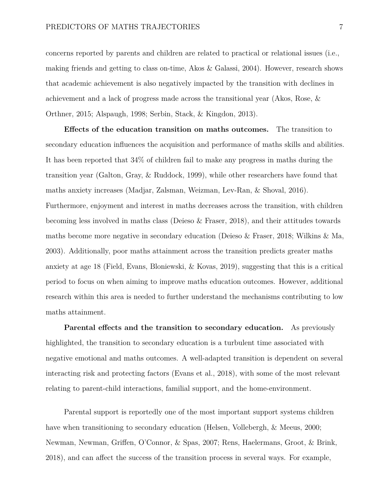concerns reported by parents and children are related to practical or relational issues (i.e., making friends and getting to class on-time, Akos & Galassi, 2004). However, research shows that academic achievement is also negatively impacted by the transition with declines in achievement and a lack of progress made across the transitional year (Akos, Rose, & Orthner, 2015; Alspaugh, 1998; Serbin, Stack, & Kingdon, 2013).

**Effects of the education transition on maths outcomes.** The transition to secondary education influences the acquisition and performance of maths skills and abilities. It has been reported that 34% of children fail to make any progress in maths during the transition year (Galton, Gray, & Ruddock, 1999), while other researchers have found that maths anxiety increases (Madjar, Zalsman, Weizman, Lev-Ran, & Shoval, 2016). Furthermore, enjoyment and interest in maths decreases across the transition, with children becoming less involved in maths class (Deieso & Fraser, 2018), and their attitudes towards maths become more negative in secondary education (Deieso & Fraser, 2018; Wilkins & Ma, 2003). Additionally, poor maths attainment across the transition predicts greater maths anxiety at age 18 (Field, Evans, Bloniewski, & Kovas, 2019), suggesting that this is a critical period to focus on when aiming to improve maths education outcomes. However, additional research within this area is needed to further understand the mechanisms contributing to low maths attainment.

**Parental effects and the transition to secondary education.** As previously highlighted, the transition to secondary education is a turbulent time associated with negative emotional and maths outcomes. A well-adapted transition is dependent on several interacting risk and protecting factors (Evans et al., 2018), with some of the most relevant relating to parent-child interactions, familial support, and the home-environment.

Parental support is reportedly one of the most important support systems children have when transitioning to secondary education (Helsen, Vollebergh, & Meeus, 2000; Newman, Newman, Griffen, O'Connor, & Spas, 2007; Rens, Haelermans, Groot, & Brink, 2018), and can affect the success of the transition process in several ways. For example,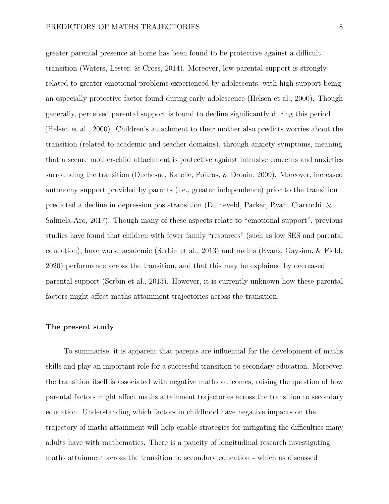greater parental presence at home has been found to be protective against a difficult transition (Waters, Lester, & Cross, 2014). Moreover, low parental support is strongly related to greater emotional problems experienced by adolescents, with high support being an especially protective factor found during early adolescence (Helsen et al., 2000). Though generally, perceived parental support is found to decline significantly during this period (Helsen et al., 2000). Children's attachment to their mother also predicts worries about the transition (related to academic and teacher domains), through anxiety symptoms, meaning that a secure mother-child attachment is protective against intrusive concerns and anxieties surrounding the transition (Duchesne, Ratelle, Poitras, & Drouin, 2009). Moreover, increased autonomy support provided by parents (i.e., greater independence) prior to the transition predicted a decline in depression post-transition (Duineveld, Parker, Ryan, Ciarrochi, & Salmela-Aro, 2017). Though many of these aspects relate to "emotional support", previous studies have found that children with fewer family "resources" (such as low SES and parental education), have worse academic (Serbin et al., 2013) and maths (Evans, Gaysina, & Field, 2020) performance across the transition, and that this may be explained by decreased parental support (Serbin et al., 2013). However, it is currently unknown how these parental factors might affect maths attainment trajectories across the transition.

#### **The present study**

To summarise, it is apparent that parents are influential for the development of maths skills and play an important role for a successful transition to secondary education. Moreover, the transition itself is associated with negative maths outcomes, raising the question of how parental factors might affect maths attainment trajectories across the transition to secondary education. Understanding which factors in childhood have negative impacts on the trajectory of maths attainment will help enable strategies for mitigating the difficulties many adults have with mathematics. There is a paucity of longitudinal research investigating maths attainment across the transition to secondary education - which as discussed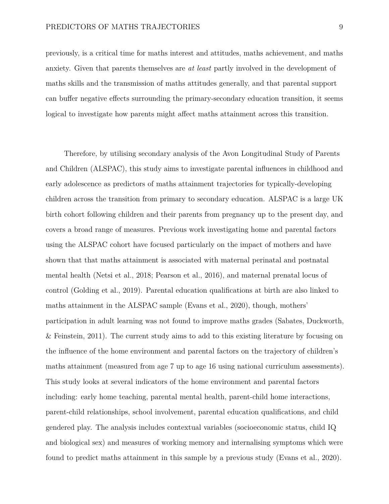previously, is a critical time for maths interest and attitudes, maths achievement, and maths anxiety. Given that parents themselves are *at least* partly involved in the development of maths skills and the transmission of maths attitudes generally, and that parental support can buffer negative effects surrounding the primary-secondary education transition, it seems logical to investigate how parents might affect maths attainment across this transition.

Therefore, by utilising secondary analysis of the Avon Longitudinal Study of Parents and Children (ALSPAC), this study aims to investigate parental influences in childhood and early adolescence as predictors of maths attainment trajectories for typically-developing children across the transition from primary to secondary education. ALSPAC is a large UK birth cohort following children and their parents from pregnancy up to the present day, and covers a broad range of measures. Previous work investigating home and parental factors using the ALSPAC cohort have focused particularly on the impact of mothers and have shown that that maths attainment is associated with maternal perinatal and postnatal mental health (Netsi et al., 2018; Pearson et al., 2016), and maternal prenatal locus of control (Golding et al., 2019). Parental education qualifications at birth are also linked to maths attainment in the ALSPAC sample (Evans et al., 2020), though, mothers' participation in adult learning was not found to improve maths grades (Sabates, Duckworth, & Feinstein, 2011). The current study aims to add to this existing literature by focusing on the influence of the home environment and parental factors on the trajectory of children's maths attainment (measured from age 7 up to age 16 using national curriculum assessments). This study looks at several indicators of the home environment and parental factors including: early home teaching, parental mental health, parent-child home interactions, parent-child relationships, school involvement, parental education qualifications, and child gendered play. The analysis includes contextual variables (socioeconomic status, child IQ and biological sex) and measures of working memory and internalising symptoms which were found to predict maths attainment in this sample by a previous study (Evans et al., 2020).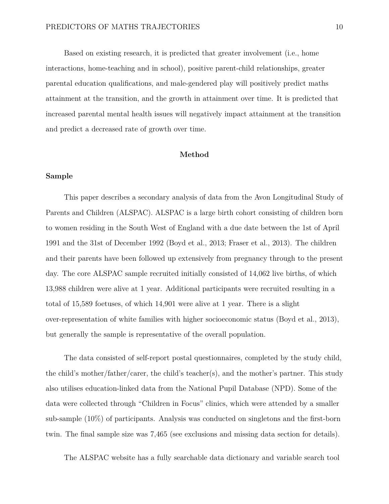Based on existing research, it is predicted that greater involvement (i.e., home interactions, home-teaching and in school), positive parent-child relationships, greater parental education qualifications, and male-gendered play will positively predict maths attainment at the transition, and the growth in attainment over time. It is predicted that increased parental mental health issues will negatively impact attainment at the transition and predict a decreased rate of growth over time.

#### **Method**

#### **Sample**

This paper describes a secondary analysis of data from the Avon Longitudinal Study of Parents and Children (ALSPAC). ALSPAC is a large birth cohort consisting of children born to women residing in the South West of England with a due date between the 1st of April 1991 and the 31st of December 1992 (Boyd et al., 2013; Fraser et al., 2013). The children and their parents have been followed up extensively from pregnancy through to the present day. The core ALSPAC sample recruited initially consisted of 14,062 live births, of which 13,988 children were alive at 1 year. Additional participants were recruited resulting in a total of 15,589 foetuses, of which 14,901 were alive at 1 year. There is a slight over-representation of white families with higher socioeconomic status (Boyd et al., 2013), but generally the sample is representative of the overall population.

The data consisted of self-report postal questionnaires, completed by the study child, the child's mother/father/carer, the child's teacher(s), and the mother's partner. This study also utilises education-linked data from the National Pupil Database (NPD). Some of the data were collected through "Children in Focus" clinics, which were attended by a smaller sub-sample (10%) of participants. Analysis was conducted on singletons and the first-born twin. The final sample size was 7,465 (see exclusions and missing data section for details).

The ALSPAC website has a fully searchable data dictionary and variable search tool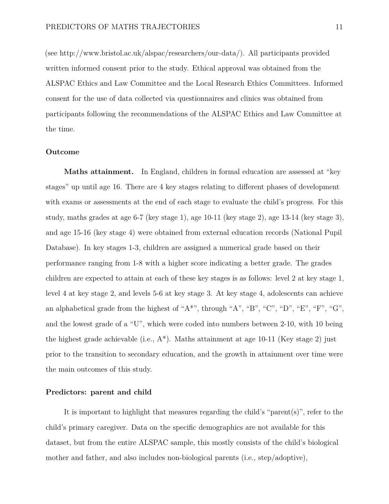(see [http://www.bristol.ac.uk/alspac/researchers/our-data/\)](http://www.bristol.ac.uk/alspac/researchers/our-data/). All participants provided written informed consent prior to the study. Ethical approval was obtained from the ALSPAC Ethics and Law Committee and the Local Research Ethics Committees. Informed consent for the use of data collected via questionnaires and clinics was obtained from participants following the recommendations of the ALSPAC Ethics and Law Committee at the time.

#### **Outcome**

**Maths attainment.** In England, children in formal education are assessed at "key" stages" up until age 16. There are 4 key stages relating to different phases of development with exams or assessments at the end of each stage to evaluate the child's progress. For this study, maths grades at age 6-7 (key stage 1), age 10-11 (key stage 2), age 13-14 (key stage 3), and age 15-16 (key stage 4) were obtained from external education records (National Pupil Database). In key stages 1-3, children are assigned a numerical grade based on their performance ranging from 1-8 with a higher score indicating a better grade. The grades children are expected to attain at each of these key stages is as follows: level 2 at key stage 1, level 4 at key stage 2, and levels 5-6 at key stage 3. At key stage 4, adolescents can achieve an alphabetical grade from the highest of "A\*", through "A", "B", "C", "D", "E", "F", "G", and the lowest grade of a "U", which were coded into numbers between 2-10, with 10 being the highest grade achievable (i.e.,  $A^*$ ). Maths attainment at age 10-11 (Key stage 2) just prior to the transition to secondary education, and the growth in attainment over time were the main outcomes of this study.

#### **Predictors: parent and child**

It is important to highlight that measures regarding the child's "parent(s)", refer to the child's primary caregiver. Data on the specific demographics are not available for this dataset, but from the entire ALSPAC sample, this mostly consists of the child's biological mother and father, and also includes non-biological parents (i.e., step/adoptive),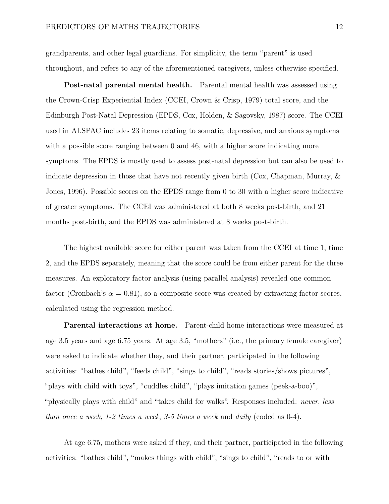grandparents, and other legal guardians. For simplicity, the term "parent" is used throughout, and refers to any of the aforementioned caregivers, unless otherwise specified.

**Post-natal parental mental health.** Parental mental health was assessed using the Crown-Crisp Experiential Index (CCEI, Crown & Crisp, 1979) total score, and the Edinburgh Post-Natal Depression (EPDS, Cox, Holden, & Sagovsky, 1987) score. The CCEI used in ALSPAC includes 23 items relating to somatic, depressive, and anxious symptoms with a possible score ranging between 0 and 46, with a higher score indicating more symptoms. The EPDS is mostly used to assess post-natal depression but can also be used to indicate depression in those that have not recently given birth ( $Cox$ , Chapman, Murray,  $\&$ Jones, 1996). Possible scores on the EPDS range from 0 to 30 with a higher score indicative of greater symptoms. The CCEI was administered at both 8 weeks post-birth, and 21 months post-birth, and the EPDS was administered at 8 weeks post-birth.

The highest available score for either parent was taken from the CCEI at time 1, time 2, and the EPDS separately, meaning that the score could be from either parent for the three measures. An exploratory factor analysis (using parallel analysis) revealed one common factor (Cronbach's  $\alpha = 0.81$ ), so a composite score was created by extracting factor scores, calculated using the regression method.

**Parental interactions at home.** Parent-child home interactions were measured at age 3.5 years and age 6.75 years. At age 3.5, "mothers" (i.e., the primary female caregiver) were asked to indicate whether they, and their partner, participated in the following activities: "bathes child", "feeds child", "sings to child", "reads stories/shows pictures", "plays with child with toys", "cuddles child", "plays imitation games (peek-a-boo)", "physically plays with child" and "takes child for walks". Responses included: *never*, *less than once a week*, *1-2 times a week*, *3-5 times a week* and *daily* (coded as 0-4).

At age 6.75, mothers were asked if they, and their partner, participated in the following activities: "bathes child", "makes things with child", "sings to child", "reads to or with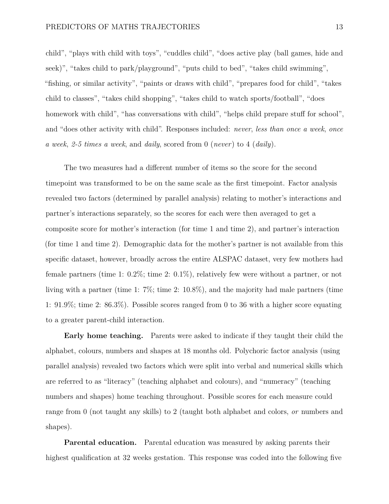child", "plays with child with toys", "cuddles child", "does active play (ball games, hide and seek)", "takes child to park/playground", "puts child to bed", "takes child swimming", "fishing, or similar activity", "paints or draws with child", "prepares food for child", "takes child to classes", "takes child shopping", "takes child to watch sports/football", "does homework with child", "has conversations with child", "helps child prepare stuff for school", and "does other activity with child". Responses included: *never*, *less than once a week*, *once a week*, *2-5 times a week*, and *daily*, scored from 0 (*never*) to 4 (*daily*).

The two measures had a different number of items so the score for the second timepoint was transformed to be on the same scale as the first timepoint. Factor analysis revealed two factors (determined by parallel analysis) relating to mother's interactions and partner's interactions separately, so the scores for each were then averaged to get a composite score for mother's interaction (for time 1 and time 2), and partner's interaction (for time 1 and time 2). Demographic data for the mother's partner is not available from this specific dataset, however, broadly across the entire ALSPAC dataset, very few mothers had female partners (time 1: 0.2%; time 2: 0.1%), relatively few were without a partner, or not living with a partner (time 1: 7%; time 2: 10.8%), and the majority had male partners (time 1: 91.9%; time 2: 86.3%). Possible scores ranged from 0 to 36 with a higher score equating to a greater parent-child interaction.

**Early home teaching.** Parents were asked to indicate if they taught their child the alphabet, colours, numbers and shapes at 18 months old. Polychoric factor analysis (using parallel analysis) revealed two factors which were split into verbal and numerical skills which are referred to as "literacy" (teaching alphabet and colours), and "numeracy" (teaching numbers and shapes) home teaching throughout. Possible scores for each measure could range from 0 (not taught any skills) to 2 (taught both alphabet and colors, *or* numbers and shapes).

**Parental education.** Parental education was measured by asking parents their highest qualification at 32 weeks gestation. This response was coded into the following five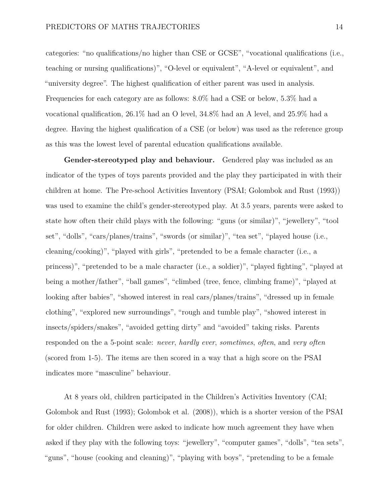categories: "no qualifications/no higher than CSE or GCSE", "vocational qualifications (i.e., teaching or nursing qualifications)", "O-level or equivalent", "A-level or equivalent", and "university degree". The highest qualification of either parent was used in analysis. Frequencies for each category are as follows: 8.0% had a CSE or below, 5.3% had a vocational qualification, 26.1% had an O level, 34.8% had an A level, and 25.9% had a degree. Having the highest qualification of a CSE (or below) was used as the reference group as this was the lowest level of parental education qualifications available.

**Gender-stereotyped play and behaviour.** Gendered play was included as an indicator of the types of toys parents provided and the play they participated in with their children at home. The Pre-school Activities Inventory (PSAI; Golombok and Rust (1993)) was used to examine the child's gender-stereotyped play. At 3.5 years, parents were asked to state how often their child plays with the following: "guns (or similar)", "jewellery", "tool set", "dolls", "cars/planes/trains", "swords (or similar)", "tea set", "played house (i.e., cleaning/cooking)", "played with girls", "pretended to be a female character (i.e., a princess)", "pretended to be a male character (i.e., a soldier)", "played fighting", "played at being a mother/father", "ball games", "climbed (tree, fence, climbing frame)", "played at looking after babies", "showed interest in real cars/planes/trains", "dressed up in female clothing", "explored new surroundings", "rough and tumble play", "showed interest in insects/spiders/snakes", "avoided getting dirty" and "avoided" taking risks. Parents responded on the a 5-point scale: *never*, *hardly ever*, *sometimes*, *often*, and *very often* (scored from 1-5). The items are then scored in a way that a high score on the PSAI indicates more "masculine" behaviour.

At 8 years old, children participated in the Children's Activities Inventory (CAI; Golombok and Rust (1993); Golombok et al. (2008)), which is a shorter version of the PSAI for older children. Children were asked to indicate how much agreement they have when asked if they play with the following toys: "jewellery", "computer games", "dolls", "tea sets", "guns", "house (cooking and cleaning)", "playing with boys", "pretending to be a female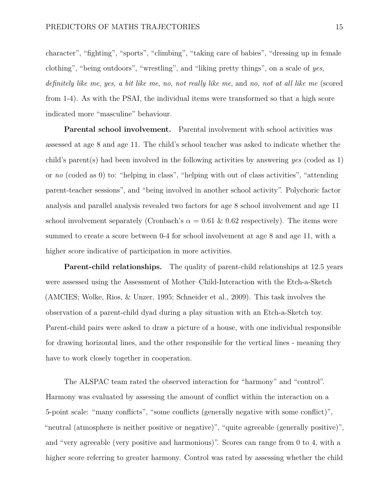character", "fighting", "sports", "climbing", "taking care of babies", "dressing up in female clothing", "being outdoors", "wrestling", and "liking pretty things", on a scale of *yes, definitely like me*, *yes, a bit like me*, *no, not really like me*, and *no, not at all like me* (scored from 1-4). As with the PSAI, the individual items were transformed so that a high score indicated more "masculine" behaviour.

**Parental school involvement.** Parental involvement with school activities was assessed at age 8 and age 11. The child's school teacher was asked to indicate whether the child's parent(s) had been involved in the following activities by answering *yes* (coded as 1) or *no* (coded as 0) to: "helping in class", "helping with out of class activities", "attending parent-teacher sessions", and "being involved in another school activity". Polychoric factor analysis and parallel analysis revealed two factors for age 8 school involvement and age 11 school involvement separately (Cronbach's  $\alpha = 0.61 \& 0.62$  respectively). The items were summed to create a score between 0-4 for school involvement at age 8 and age 11, with a higher score indicative of participation in more activities.

**Parent-child relationships.** The quality of parent-child relationships at 12.5 years were assessed using the Assessment of Mother–Child-Interaction with the Etch-a-Sketch (AMCIES; Wolke, Rios, & Unzer, 1995; Schneider et al., 2009). This task involves the observation of a parent-child dyad during a play situation with an Etch-a-Sketch toy. Parent-child pairs were asked to draw a picture of a house, with one individual responsible for drawing horizontal lines, and the other responsible for the vertical lines - meaning they have to work closely together in cooperation.

The ALSPAC team rated the observed interaction for "harmony" and "control". Harmony was evaluated by assessing the amount of conflict within the interaction on a 5-point scale: "many conflicts", "some conflicts (generally negative with some conflict)", "neutral (atmosphere is neither positive or negative)", "quite agreeable (generally positive)", and "very agreeable (very positive and harmonious)". Scores can range from 0 to 4, with a higher score referring to greater harmony. Control was rated by assessing whether the child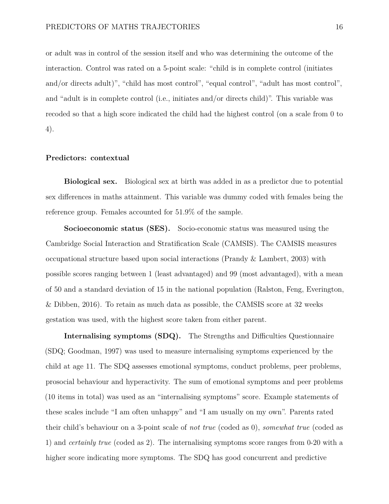or adult was in control of the session itself and who was determining the outcome of the interaction. Control was rated on a 5-point scale: "child is in complete control (initiates and/or directs adult)", "child has most control", "equal control", "adult has most control", and "adult is in complete control (i.e., initiates and/or directs child)". This variable was recoded so that a high score indicated the child had the highest control (on a scale from 0 to 4).

#### **Predictors: contextual**

**Biological sex.** Biological sex at birth was added in as a predictor due to potential sex differences in maths attainment. This variable was dummy coded with females being the reference group. Females accounted for 51.9% of the sample.

**Socioeconomic status (SES).** Socio-economic status was measured using the Cambridge Social Interaction and Stratification Scale (CAMSIS). The CAMSIS measures occupational structure based upon social interactions (Prandy & Lambert, 2003) with possible scores ranging between 1 (least advantaged) and 99 (most advantaged), with a mean of 50 and a standard deviation of 15 in the national population (Ralston, Feng, Everington, & Dibben, 2016). To retain as much data as possible, the CAMSIS score at 32 weeks gestation was used, with the highest score taken from either parent.

**Internalising symptoms (SDQ).** The Strengths and Difficulties Questionnaire (SDQ; Goodman, 1997) was used to measure internalising symptoms experienced by the child at age 11. The SDQ assesses emotional symptoms, conduct problems, peer problems, prosocial behaviour and hyperactivity. The sum of emotional symptoms and peer problems (10 items in total) was used as an "internalising symptoms" score. Example statements of these scales include "I am often unhappy" and "I am usually on my own". Parents rated their child's behaviour on a 3-point scale of *not true* (coded as 0), *somewhat true* (coded as 1) and *certainly true* (coded as 2). The internalising symptoms score ranges from 0-20 with a higher score indicating more symptoms. The SDQ has good concurrent and predictive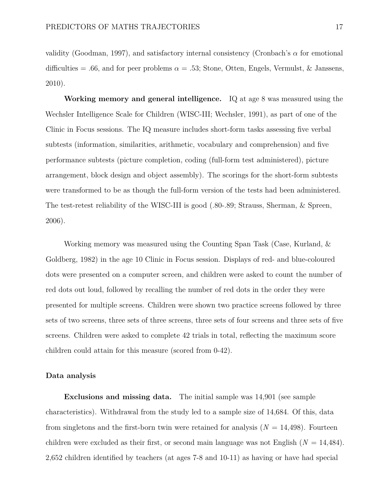validity (Goodman, 1997), and satisfactory internal consistency (Cronbach's *α* for emotional difficulties = .66, and for peer problems  $\alpha = .53$ ; Stone, Otten, Engels, Vermulst, & Janssens, 2010).

**Working memory and general intelligence.** IQ at age 8 was measured using the Wechsler Intelligence Scale for Children (WISC-III; Wechsler, 1991), as part of one of the Clinic in Focus sessions. The IQ measure includes short-form tasks assessing five verbal subtests (information, similarities, arithmetic, vocabulary and comprehension) and five performance subtests (picture completion, coding (full-form test administered), picture arrangement, block design and object assembly). The scorings for the short-form subtests were transformed to be as though the full-form version of the tests had been administered. The test-retest reliability of the WISC-III is good (.80-.89; Strauss, Sherman, & Spreen, 2006).

Working memory was measured using the Counting Span Task (Case, Kurland, & Goldberg, 1982) in the age 10 Clinic in Focus session. Displays of red- and blue-coloured dots were presented on a computer screen, and children were asked to count the number of red dots out loud, followed by recalling the number of red dots in the order they were presented for multiple screens. Children were shown two practice screens followed by three sets of two screens, three sets of three screens, three sets of four screens and three sets of five screens. Children were asked to complete 42 trials in total, reflecting the maximum score children could attain for this measure (scored from 0-42).

#### **Data analysis**

**Exclusions and missing data.** The initial sample was 14,901 (see sample characteristics). Withdrawal from the study led to a sample size of 14,684. Of this, data from singletons and the first-born twin were retained for analysis  $(N = 14,498)$ . Fourteen children were excluded as their first, or second main language was not English (*N* = 14,484). 2,652 children identified by teachers (at ages 7-8 and 10-11) as having or have had special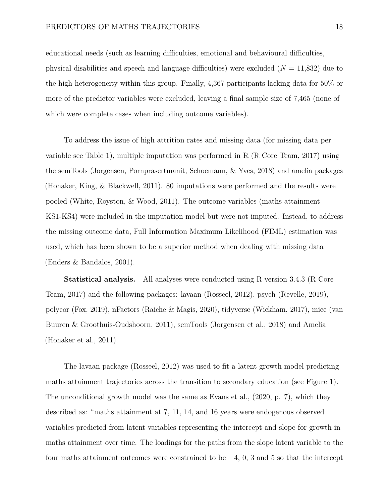educational needs (such as learning difficulties, emotional and behavioural difficulties, physical disabilities and speech and language difficulties) were excluded (*N* = 11,832) due to the high heterogeneity within this group. Finally, 4,367 participants lacking data for 50% or more of the predictor variables were excluded, leaving a final sample size of 7,465 (none of which were complete cases when including outcome variables).

To address the issue of high attrition rates and missing data (for missing data per variable see Table [1\)](#page-49-0), multiple imputation was performed in R (R Core Team, 2017) using the semTools (Jorgensen, Pornprasertmanit, Schoemann, & Yves, 2018) and amelia packages (Honaker, King, & Blackwell, 2011). 80 imputations were performed and the results were pooled (White, Royston, & Wood, 2011). The outcome variables (maths attainment KS1-KS4) were included in the imputation model but were not imputed. Instead, to address the missing outcome data, Full Information Maximum Likelihood (FIML) estimation was used, which has been shown to be a superior method when dealing with missing data (Enders & Bandalos, 2001).

**Statistical analysis.** All analyses were conducted using R version 3.4.3 (R Core Team, 2017) and the following packages: lavaan (Rosseel, 2012), psych (Revelle, 2019), polycor (Fox, 2019), nFactors (Raiche & Magis, 2020), tidyverse (Wickham, 2017), mice (van Buuren & Groothuis-Oudshoorn, 2011), semTools (Jorgensen et al., 2018) and Amelia (Honaker et al., 2011).

The lavaan package (Rosseel, 2012) was used to fit a latent growth model predicting maths attainment trajectories across the transition to secondary education (see Figure 1). The unconditional growth model was the same as Evans et al., (2020, p. 7), which they described as: "maths attainment at 7, 11, 14, and 16 years were endogenous observed variables predicted from latent variables representing the intercept and slope for growth in maths attainment over time. The loadings for the paths from the slope latent variable to the four maths attainment outcomes were constrained to be  $-4$ , 0, 3 and 5 so that the intercept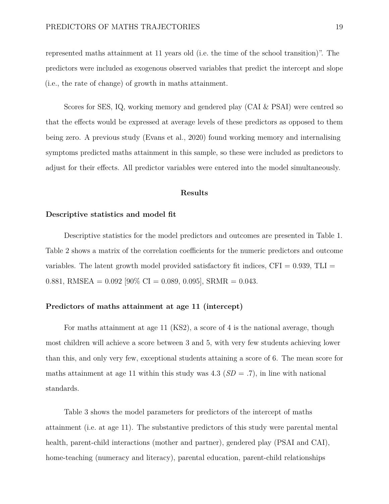represented maths attainment at 11 years old (i.e. the time of the school transition)". The predictors were included as exogenous observed variables that predict the intercept and slope (i.e., the rate of change) of growth in maths attainment.

Scores for SES, IQ, working memory and gendered play (CAI & PSAI) were centred so that the effects would be expressed at average levels of these predictors as opposed to them being zero. A previous study (Evans et al., 2020) found working memory and internalising symptoms predicted maths attainment in this sample, so these were included as predictors to adjust for their effects. All predictor variables were entered into the model simultaneously.

#### **Results**

#### **Descriptive statistics and model fit**

Descriptive statistics for the model predictors and outcomes are presented in Table [1.](#page-49-0) Table [2](#page-50-0) shows a matrix of the correlation coefficients for the numeric predictors and outcome variables. The latent growth model provided satisfactory fit indices,  $CFI = 0.939$ , TLI = 0.881, RMSEA =  $0.092$  [ $90\%$  CI = 0.089, 0.095], SRMR = 0.043.

#### **Predictors of maths attainment at age 11 (intercept)**

For maths attainment at age 11 (KS2), a score of 4 is the national average, though most children will achieve a score between 3 and 5, with very few students achieving lower than this, and only very few, exceptional students attaining a score of 6. The mean score for maths attainment at age 11 within this study was  $4.3$  ( $SD = .7$ ), in line with national standards.

Table [3](#page-51-0) shows the model parameters for predictors of the intercept of maths attainment (i.e. at age 11). The substantive predictors of this study were parental mental health, parent-child interactions (mother and partner), gendered play (PSAI and CAI), home-teaching (numeracy and literacy), parental education, parent-child relationships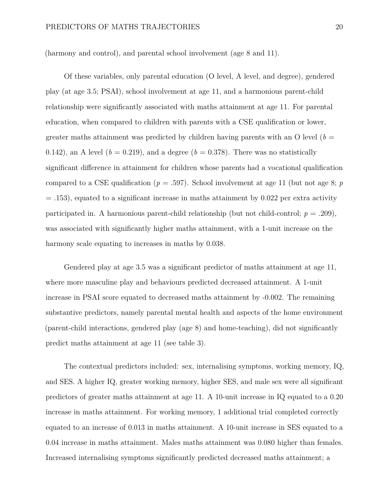(harmony and control), and parental school involvement (age 8 and 11).

Of these variables, only parental education (O level, A level, and degree), gendered play (at age 3.5; PSAI), school involvement at age 11, and a harmonious parent-child relationship were significantly associated with maths attainment at age 11. For parental education, when compared to children with parents with a CSE qualification or lower, greater maths attainment was predicted by children having parents with an  $\overline{O}$  level ( $b =$ 0.142), an A level  $(b = 0.219)$ , and a degree  $(b = 0.378)$ . There was no statistically significant difference in attainment for children whose parents had a vocational qualification compared to a CSE qualification ( $p = .597$ ). School involvement at age 11 (but not age 8;  $p$ )  $= .153$ ), equated to a significant increase in maths attainment by 0.022 per extra activity participated in. A harmonious parent-child relationship (but not child-control;  $p = .209$ ), was associated with significantly higher maths attainment, with a 1-unit increase on the harmony scale equating to increases in maths by 0.038.

Gendered play at age 3.5 was a significant predictor of maths attainment at age 11, where more masculine play and behaviours predicted decreased attainment. A 1-unit increase in PSAI score equated to decreased maths attainment by -0.002. The remaining substantive predictors, namely parental mental health and aspects of the home environment (parent-child interactions, gendered play (age 8) and home-teaching), did not significantly predict maths attainment at age 11 (see table [3\)](#page-51-0).

The contextual predictors included: sex, internalising symptoms, working memory, IQ, and SES. A higher IQ, greater working memory, higher SES, and male sex were all significant predictors of greater maths attainment at age 11. A 10-unit increase in IQ equated to a 0.20 increase in maths attainment. For working memory, 1 additional trial completed correctly equated to an increase of 0.013 in maths attainment. A 10-unit increase in SES equated to a 0.04 increase in maths attainment. Males maths attainment was 0.080 higher than females. Increased internalising symptoms significantly predicted decreased maths attainment; a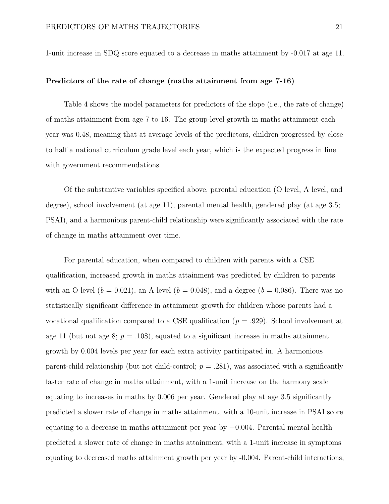1-unit increase in SDQ score equated to a decrease in maths attainment by -0.017 at age 11.

#### **Predictors of the rate of change (maths attainment from age 7-16)**

Table [4](#page-52-0) shows the model parameters for predictors of the slope (i.e., the rate of change) of maths attainment from age 7 to 16. The group-level growth in maths attainment each year was 0.48, meaning that at average levels of the predictors, children progressed by close to half a national curriculum grade level each year, which is the expected progress in line with government recommendations.

Of the substantive variables specified above, parental education (O level, A level, and degree), school involvement (at age 11), parental mental health, gendered play (at age 3.5; PSAI), and a harmonious parent-child relationship were significantly associated with the rate of change in maths attainment over time.

For parental education, when compared to children with parents with a CSE qualification, increased growth in maths attainment was predicted by children to parents with an O level ( $b = 0.021$ ), an A level ( $b = 0.048$ ), and a degree ( $b = 0.086$ ). There was no statistically significant difference in attainment growth for children whose parents had a vocational qualification compared to a CSE qualification (*p* = .929). School involvement at age 11 (but not age 8;  $p = .108$ ), equated to a significant increase in maths attainment growth by 0.004 levels per year for each extra activity participated in. A harmonious parent-child relationship (but not child-control;  $p = .281$ ), was associated with a significantly faster rate of change in maths attainment, with a 1-unit increase on the harmony scale equating to increases in maths by 0.006 per year. Gendered play at age 3.5 significantly predicted a slower rate of change in maths attainment, with a 10-unit increase in PSAI score equating to a decrease in maths attainment per year by −0*.*004. Parental mental health predicted a slower rate of change in maths attainment, with a 1-unit increase in symptoms equating to decreased maths attainment growth per year by -0.004. Parent-child interactions,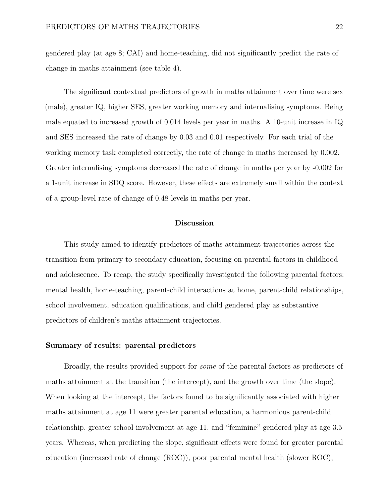gendered play (at age 8; CAI) and home-teaching, did not significantly predict the rate of change in maths attainment (see table [4\)](#page-52-0).

The significant contextual predictors of growth in maths attainment over time were sex (male), greater IQ, higher SES, greater working memory and internalising symptoms. Being male equated to increased growth of 0.014 levels per year in maths. A 10-unit increase in IQ and SES increased the rate of change by 0.03 and 0.01 respectively. For each trial of the working memory task completed correctly, the rate of change in maths increased by 0.002. Greater internalising symptoms decreased the rate of change in maths per year by -0.002 for a 1-unit increase in SDQ score. However, these effects are extremely small within the context of a group-level rate of change of 0.48 levels in maths per year.

#### **Discussion**

This study aimed to identify predictors of maths attainment trajectories across the transition from primary to secondary education, focusing on parental factors in childhood and adolescence. To recap, the study specifically investigated the following parental factors: mental health, home-teaching, parent-child interactions at home, parent-child relationships, school involvement, education qualifications, and child gendered play as substantive predictors of children's maths attainment trajectories.

#### **Summary of results: parental predictors**

Broadly, the results provided support for *some* of the parental factors as predictors of maths attainment at the transition (the intercept), and the growth over time (the slope). When looking at the intercept, the factors found to be significantly associated with higher maths attainment at age 11 were greater parental education, a harmonious parent-child relationship, greater school involvement at age 11, and "feminine" gendered play at age 3.5 years. Whereas, when predicting the slope, significant effects were found for greater parental education (increased rate of change (ROC)), poor parental mental health (slower ROC),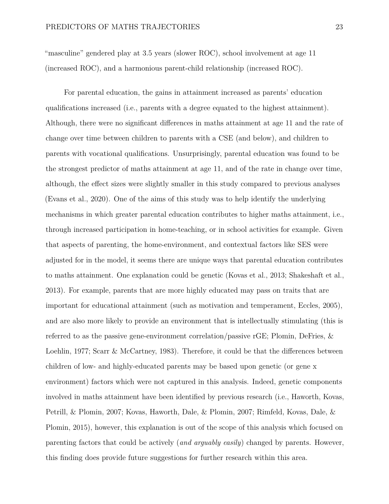"masculine" gendered play at 3.5 years (slower ROC), school involvement at age 11 (increased ROC), and a harmonious parent-child relationship (increased ROC).

For parental education, the gains in attainment increased as parents' education qualifications increased (i.e., parents with a degree equated to the highest attainment). Although, there were no significant differences in maths attainment at age 11 and the rate of change over time between children to parents with a CSE (and below), and children to parents with vocational qualifications. Unsurprisingly, parental education was found to be the strongest predictor of maths attainment at age 11, and of the rate in change over time, although, the effect sizes were slightly smaller in this study compared to previous analyses (Evans et al., 2020). One of the aims of this study was to help identify the underlying mechanisms in which greater parental education contributes to higher maths attainment, i.e., through increased participation in home-teaching, or in school activities for example. Given that aspects of parenting, the home-environment, and contextual factors like SES were adjusted for in the model, it seems there are unique ways that parental education contributes to maths attainment. One explanation could be genetic (Kovas et al., 2013; Shakeshaft et al., 2013). For example, parents that are more highly educated may pass on traits that are important for educational attainment (such as motivation and temperament, Eccles, 2005), and are also more likely to provide an environment that is intellectually stimulating (this is referred to as the passive gene-environment correlation/passive rGE; Plomin, DeFries, & Loehlin, 1977; Scarr & McCartney, 1983). Therefore, it could be that the differences between children of low- and highly-educated parents may be based upon genetic (or gene x environment) factors which were not captured in this analysis. Indeed, genetic components involved in maths attainment have been identified by previous research (i.e., Haworth, Kovas, Petrill, & Plomin, 2007; Kovas, Haworth, Dale, & Plomin, 2007; Rimfeld, Kovas, Dale, & Plomin, 2015), however, this explanation is out of the scope of this analysis which focused on parenting factors that could be actively (*and arguably easily*) changed by parents. However, this finding does provide future suggestions for further research within this area.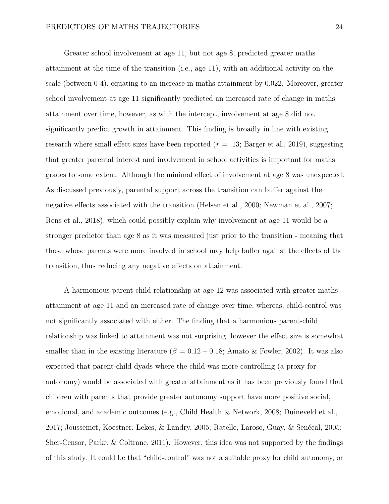Greater school involvement at age 11, but not age 8, predicted greater maths attainment at the time of the transition (i.e., age 11), with an additional activity on the scale (between 0-4), equating to an increase in maths attainment by 0.022. Moreover, greater school involvement at age 11 significantly predicted an increased rate of change in maths attainment over time, however, as with the intercept, involvement at age 8 did not significantly predict growth in attainment. This finding is broadly in line with existing research where small effect sizes have been reported ( $r = .13$ ; Barger et al., 2019), suggesting that greater parental interest and involvement in school activities is important for maths grades to some extent. Although the minimal effect of involvement at age 8 was unexpected. As discussed previously, parental support across the transition can buffer against the negative effects associated with the transition (Helsen et al., 2000; Newman et al., 2007; Rens et al., 2018), which could possibly explain why involvement at age 11 would be a stronger predictor than age 8 as it was measured just prior to the transition - meaning that those whose parents were more involved in school may help buffer against the effects of the transition, thus reducing any negative effects on attainment.

A harmonious parent-child relationship at age 12 was associated with greater maths attainment at age 11 and an increased rate of change over time, whereas, child-control was not significantly associated with either. The finding that a harmonious parent-child relationship was linked to attainment was not surprising, however the effect size is somewhat smaller than in the existing literature ( $\beta = 0.12 - 0.18$ ; Amato & Fowler, 2002). It was also expected that parent-child dyads where the child was more controlling (a proxy for autonomy) would be associated with greater attainment as it has been previously found that children with parents that provide greater autonomy support have more positive social, emotional, and academic outcomes (e.g., Child Health & Network, 2008; Duineveld et al., 2017; Joussemet, Koestner, Lekes, & Landry, 2005; Ratelle, Larose, Guay, & Senécal, 2005; Sher-Censor, Parke, & Coltrane, 2011). However, this idea was not supported by the findings of this study. It could be that "child-control" was not a suitable proxy for child autonomy, or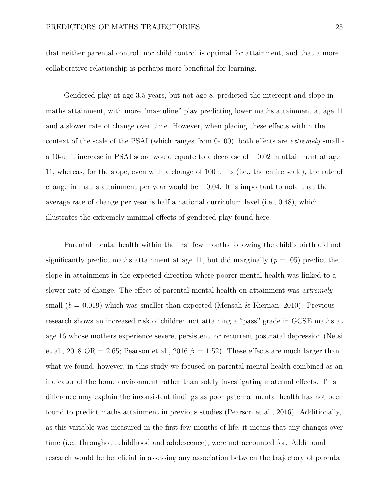that neither parental control, nor child control is optimal for attainment, and that a more collaborative relationship is perhaps more beneficial for learning.

Gendered play at age 3.5 years, but not age 8, predicted the intercept and slope in maths attainment, with more "masculine" play predicting lower maths attainment at age 11 and a slower rate of change over time. However, when placing these effects within the context of the scale of the PSAI (which ranges from 0-100), both effects are *extremely* small a 10-unit increase in PSAI score would equate to a decrease of −0*.*02 in attainment at age 11, whereas, for the slope, even with a change of 100 units (i.e., the entire scale), the rate of change in maths attainment per year would be −0*.*04. It is important to note that the average rate of change per year is half a national curriculum level (i.e., 0.48), which illustrates the extremely minimal effects of gendered play found here.

Parental mental health within the first few months following the child's birth did not significantly predict maths attainment at age 11, but did marginally ( $p = .05$ ) predict the slope in attainment in the expected direction where poorer mental health was linked to a slower rate of change. The effect of parental mental health on attainment was *extremely* small  $(b = 0.019)$  which was smaller than expected (Mensah & Kiernan, 2010). Previous research shows an increased risk of children not attaining a "pass" grade in GCSE maths at age 16 whose mothers experience severe, persistent, or recurrent postnatal depression (Netsi et al., 2018 OR = 2.65; Pearson et al., 2016  $\beta = 1.52$ ). These effects are much larger than what we found, however, in this study we focused on parental mental health combined as an indicator of the home environment rather than solely investigating maternal effects. This difference may explain the inconsistent findings as poor paternal mental health has not been found to predict maths attainment in previous studies (Pearson et al., 2016). Additionally, as this variable was measured in the first few months of life, it means that any changes over time (i.e., throughout childhood and adolescence), were not accounted for. Additional research would be beneficial in assessing any association between the trajectory of parental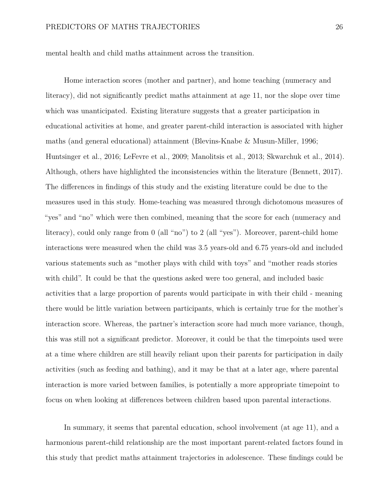mental health and child maths attainment across the transition.

Home interaction scores (mother and partner), and home teaching (numeracy and literacy), did not significantly predict maths attainment at age 11, nor the slope over time which was unanticipated. Existing literature suggests that a greater participation in educational activities at home, and greater parent-child interaction is associated with higher maths (and general educational) attainment (Blevins-Knabe & Musun-Miller, 1996; Huntsinger et al., 2016; LeFevre et al., 2009; Manolitsis et al., 2013; Skwarchuk et al., 2014). Although, others have highlighted the inconsistencies within the literature (Bennett, 2017). The differences in findings of this study and the existing literature could be due to the measures used in this study. Home-teaching was measured through dichotomous measures of "yes" and "no" which were then combined, meaning that the score for each (numeracy and literacy), could only range from 0 (all "no") to 2 (all "yes"). Moreover, parent-child home interactions were measured when the child was 3.5 years-old and 6.75 years-old and included various statements such as "mother plays with child with toys" and "mother reads stories with child". It could be that the questions asked were too general, and included basic activities that a large proportion of parents would participate in with their child - meaning there would be little variation between participants, which is certainly true for the mother's interaction score. Whereas, the partner's interaction score had much more variance, though, this was still not a significant predictor. Moreover, it could be that the timepoints used were at a time where children are still heavily reliant upon their parents for participation in daily activities (such as feeding and bathing), and it may be that at a later age, where parental interaction is more varied between families, is potentially a more appropriate timepoint to focus on when looking at differences between children based upon parental interactions.

In summary, it seems that parental education, school involvement (at age 11), and a harmonious parent-child relationship are the most important parent-related factors found in this study that predict maths attainment trajectories in adolescence. These findings could be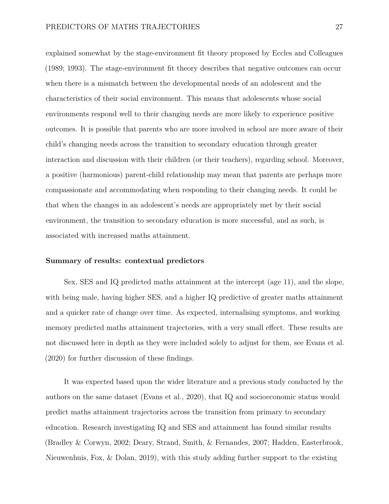explained somewhat by the stage-environment fit theory proposed by Eccles and Colleagues (1989; 1993). The stage-environment fit theory describes that negative outcomes can occur when there is a mismatch between the developmental needs of an adolescent and the characteristics of their social environment. This means that adolescents whose social environments respond well to their changing needs are more likely to experience positive outcomes. It is possible that parents who are more involved in school are more aware of their child's changing needs across the transition to secondary education through greater interaction and discussion with their children (or their teachers), regarding school. Moreover, a positive (harmonious) parent-child relationship may mean that parents are perhaps more compassionate and accommodating when responding to their changing needs. It could be that when the changes in an adolescent's needs are appropriately met by their social environment, the transition to secondary education is more successful, and as such, is associated with increased maths attainment.

#### **Summary of results: contextual predictors**

Sex, SES and IQ predicted maths attainment at the intercept (age 11), and the slope, with being male, having higher SES, and a higher IQ predictive of greater maths attainment and a quicker rate of change over time. As expected, internalising symptoms, and working memory predicted maths attainment trajectories, with a very small effect. These results are not discussed here in depth as they were included solely to adjust for them, see Evans et al. (2020) for further discussion of these findings.

It was expected based upon the wider literature and a previous study conducted by the authors on the same dataset (Evans et al., 2020), that IQ and socioeconomic status would predict maths attainment trajectories across the transition from primary to secondary education. Research investigating IQ and SES and attainment has found similar results (Bradley & Corwyn, 2002; Deary, Strand, Smith, & Fernandes, 2007; Hadden, Easterbrook, Nieuwenhuis, Fox, & Dolan, 2019), with this study adding further support to the existing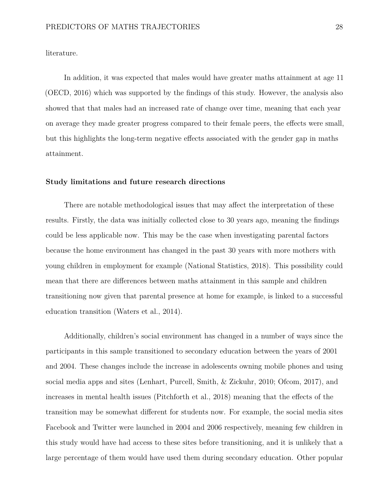literature.

In addition, it was expected that males would have greater maths attainment at age 11 (OECD, 2016) which was supported by the findings of this study. However, the analysis also showed that that males had an increased rate of change over time, meaning that each year on average they made greater progress compared to their female peers, the effects were small, but this highlights the long-term negative effects associated with the gender gap in maths attainment.

#### **Study limitations and future research directions**

There are notable methodological issues that may affect the interpretation of these results. Firstly, the data was initially collected close to 30 years ago, meaning the findings could be less applicable now. This may be the case when investigating parental factors because the home environment has changed in the past 30 years with more mothers with young children in employment for example (National Statistics, 2018). This possibility could mean that there are differences between maths attainment in this sample and children transitioning now given that parental presence at home for example, is linked to a successful education transition (Waters et al., 2014).

Additionally, children's social environment has changed in a number of ways since the participants in this sample transitioned to secondary education between the years of 2001 and 2004. These changes include the increase in adolescents owning mobile phones and using social media apps and sites (Lenhart, Purcell, Smith, & Zickuhr, 2010; Ofcom, 2017), and increases in mental health issues (Pitchforth et al., 2018) meaning that the effects of the transition may be somewhat different for students now. For example, the social media sites Facebook and Twitter were launched in 2004 and 2006 respectively, meaning few children in this study would have had access to these sites before transitioning, and it is unlikely that a large percentage of them would have used them during secondary education. Other popular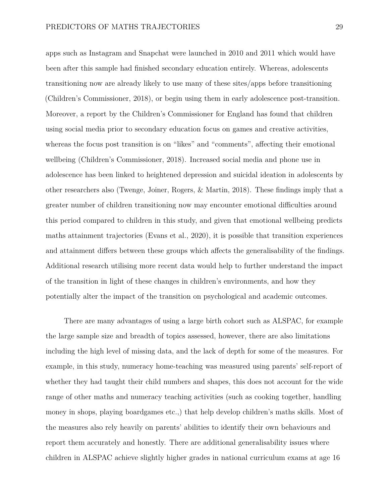apps such as Instagram and Snapchat were launched in 2010 and 2011 which would have been after this sample had finished secondary education entirely. Whereas, adolescents transitioning now are already likely to use many of these sites/apps before transitioning (Children's Commissioner, 2018), or begin using them in early adolescence post-transition. Moreover, a report by the Children's Commissioner for England has found that children using social media prior to secondary education focus on games and creative activities, whereas the focus post transition is on "likes" and "comments", affecting their emotional wellbeing (Children's Commissioner, 2018). Increased social media and phone use in adolescence has been linked to heightened depression and suicidal ideation in adolescents by other researchers also (Twenge, Joiner, Rogers, & Martin, 2018). These findings imply that a greater number of children transitioning now may encounter emotional difficulties around this period compared to children in this study, and given that emotional wellbeing predicts maths attainment trajectories (Evans et al., 2020), it is possible that transition experiences and attainment differs between these groups which affects the generalisability of the findings. Additional research utilising more recent data would help to further understand the impact of the transition in light of these changes in children's environments, and how they potentially alter the impact of the transition on psychological and academic outcomes.

There are many advantages of using a large birth cohort such as ALSPAC, for example the large sample size and breadth of topics assessed, however, there are also limitations including the high level of missing data, and the lack of depth for some of the measures. For example, in this study, numeracy home-teaching was measured using parents' self-report of whether they had taught their child numbers and shapes, this does not account for the wide range of other maths and numeracy teaching activities (such as cooking together, handling money in shops, playing boardgames etc.,) that help develop children's maths skills. Most of the measures also rely heavily on parents' abilities to identify their own behaviours and report them accurately and honestly. There are additional generalisability issues where children in ALSPAC achieve slightly higher grades in national curriculum exams at age 16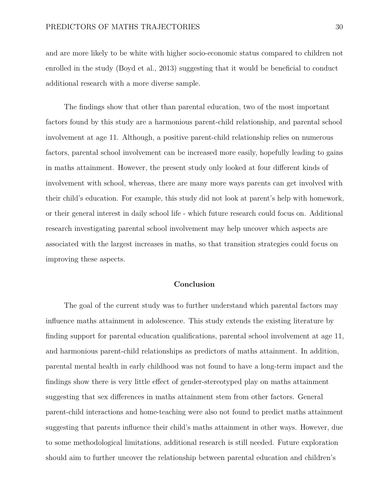and are more likely to be white with higher socio-economic status compared to children not enrolled in the study (Boyd et al., 2013) suggesting that it would be beneficial to conduct additional research with a more diverse sample.

The findings show that other than parental education, two of the most important factors found by this study are a harmonious parent-child relationship, and parental school involvement at age 11. Although, a positive parent-child relationship relies on numerous factors, parental school involvement can be increased more easily, hopefully leading to gains in maths attainment. However, the present study only looked at four different kinds of involvement with school, whereas, there are many more ways parents can get involved with their child's education. For example, this study did not look at parent's help with homework, or their general interest in daily school life - which future research could focus on. Additional research investigating parental school involvement may help uncover which aspects are associated with the largest increases in maths, so that transition strategies could focus on improving these aspects.

#### **Conclusion**

The goal of the current study was to further understand which parental factors may influence maths attainment in adolescence. This study extends the existing literature by finding support for parental education qualifications, parental school involvement at age 11, and harmonious parent-child relationships as predictors of maths attainment. In addition, parental mental health in early childhood was not found to have a long-term impact and the findings show there is very little effect of gender-stereotyped play on maths attainment suggesting that sex differences in maths attainment stem from other factors. General parent-child interactions and home-teaching were also not found to predict maths attainment suggesting that parents influence their child's maths attainment in other ways. However, due to some methodological limitations, additional research is still needed. Future exploration should aim to further uncover the relationship between parental education and children's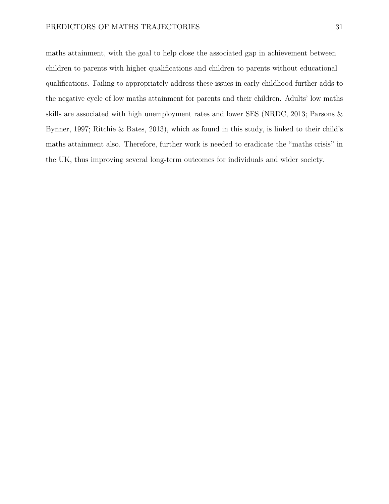maths attainment, with the goal to help close the associated gap in achievement between children to parents with higher qualifications and children to parents without educational qualifications. Failing to appropriately address these issues in early childhood further adds to the negative cycle of low maths attainment for parents and their children. Adults' low maths skills are associated with high unemployment rates and lower SES (NRDC, 2013; Parsons & Bynner, 1997; Ritchie & Bates, 2013), which as found in this study, is linked to their child's maths attainment also. Therefore, further work is needed to eradicate the "maths crisis" in the UK, thus improving several long-term outcomes for individuals and wider society.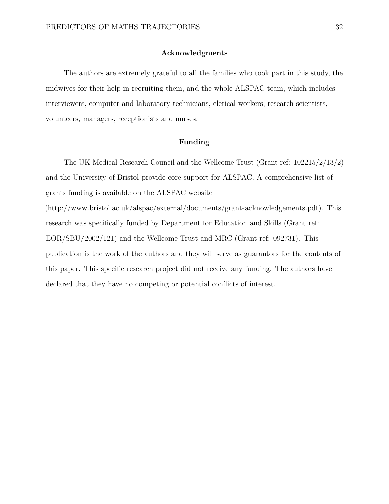#### **Acknowledgments**

The authors are extremely grateful to all the families who took part in this study, the midwives for their help in recruiting them, and the whole ALSPAC team, which includes interviewers, computer and laboratory technicians, clerical workers, research scientists, volunteers, managers, receptionists and nurses.

#### **Funding**

The UK Medical Research Council and the Wellcome Trust (Grant ref: 102215/2/13/2) and the University of Bristol provide core support for ALSPAC. A comprehensive list of grants funding is available on the ALSPAC website

[\(http://www.bristol.ac.uk/alspac/external/documents/grant-acknowledgements.pdf\)](http://www.bristol.ac.uk/alspac/external/documents/grant-acknowledgements.pdf). This research was specifically funded by Department for Education and Skills (Grant ref: EOR/SBU/2002/121) and the Wellcome Trust and MRC (Grant ref: 092731). This publication is the work of the authors and they will serve as guarantors for the contents of this paper. This specific research project did not receive any funding. The authors have declared that they have no competing or potential conflicts of interest.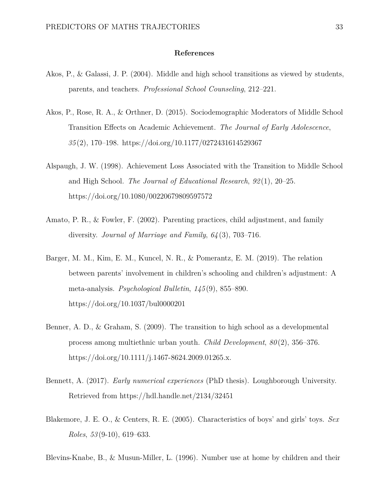#### **References**

- Akos, P., & Galassi, J. P. (2004). Middle and high school transitions as viewed by students, parents, and teachers. *Professional School Counseling*, 212–221.
- Akos, P., Rose, R. A., & Orthner, D. (2015). Sociodemographic Moderators of Middle School Transition Effects on Academic Achievement. *The Journal of Early Adolescence*, *35* (2), 170–198.<https://doi.org/10.1177/0272431614529367>
- Alspaugh, J. W. (1998). Achievement Loss Associated with the Transition to Middle School and High School. *The Journal of Educational Research*, *92* (1), 20–25. <https://doi.org/10.1080/00220679809597572>
- Amato, P. R., & Fowler, F. (2002). Parenting practices, child adjustment, and family diversity. *Journal of Marriage and Family*, *64* (3), 703–716.
- Barger, M. M., Kim, E. M., Kuncel, N. R., & Pomerantz, E. M. (2019). The relation between parents' involvement in children's schooling and children's adjustment: A meta-analysis. *Psychological Bulletin*, *145* (9), 855–890. <https://doi.org/10.1037/bul0000201>
- Benner, A. D., & Graham, S. (2009). The transition to high school as a developmental process among multiethnic urban youth. *Child Development*, *80* (2), 356–376. <https://doi.org/10.1111/j.1467-8624.2009.01265.x.>
- Bennett, A. (2017). *Early numerical experiences* (PhD thesis). Loughborough University. Retrieved from<https://hdl.handle.net/2134/32451>
- Blakemore, J. E. O., & Centers, R. E. (2005). Characteristics of boys' and girls' toys. *Sex Roles*, *53* (9-10), 619–633.

Blevins-Knabe, B., & Musun-Miller, L. (1996). Number use at home by children and their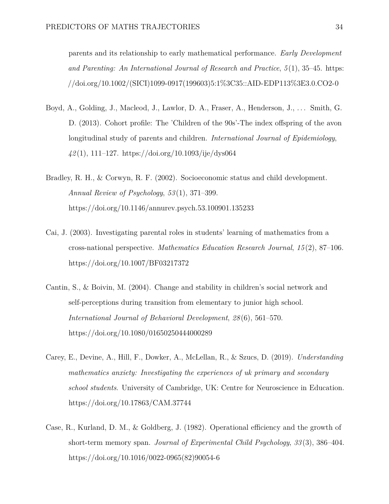parents and its relationship to early mathematical performance. *Early Development and Parenting: An International Journal of Research and Practice*, *5* (1), 35–45. [https:](https://doi.org/10.1002/(SICI)1099-0917(199603)5:1%3C35::AID-EDP113%3E3.0.CO2-0) [//doi.org/10.1002/\(SICI\)1099-0917\(199603\)5:1%3C35::AID-EDP113%3E3.0.CO2-0](https://doi.org/10.1002/(SICI)1099-0917(199603)5:1%3C35::AID-EDP113%3E3.0.CO2-0)

- Boyd, A., Golding, J., Macleod, J., Lawlor, D. A., Fraser, A., Henderson, J., ... Smith, G. D. (2013). Cohort profile: The 'Children of the 90s'-The index offspring of the avon longitudinal study of parents and children. *International Journal of Epidemiology*, *42* (1), 111–127.<https://doi.org/10.1093/ije/dys064>
- Bradley, R. H., & Corwyn, R. F. (2002). Socioeconomic status and child development. *Annual Review of Psychology*, *53* (1), 371–399. <https://doi.org/10.1146/annurev.psych.53.100901.135233>
- Cai, J. (2003). Investigating parental roles in students' learning of mathematics from a cross-national perspective. *Mathematics Education Research Journal*, *15* (2), 87–106. <https://doi.org/10.1007/BF03217372>
- Cantin, S., & Boivin, M. (2004). Change and stability in children's social network and self-perceptions during transition from elementary to junior high school. *International Journal of Behavioral Development*, *28* (6), 561–570. <https://doi.org/10.1080/01650250444000289>
- Carey, E., Devine, A., Hill, F., Dowker, A., McLellan, R., & Szucs, D. (2019). *Understanding mathematics anxiety: Investigating the experiences of uk primary and secondary school students*. University of Cambridge, UK: Centre for Neuroscience in Education. <https://doi.org/10.17863/CAM.37744>
- Case, R., Kurland, D. M., & Goldberg, J. (1982). Operational efficiency and the growth of short-term memory span. *Journal of Experimental Child Psychology*, *33* (3), 386–404. [https://doi.org/10.1016/0022-0965\(82\)90054-6](https://doi.org/10.1016/0022-0965(82)90054-6)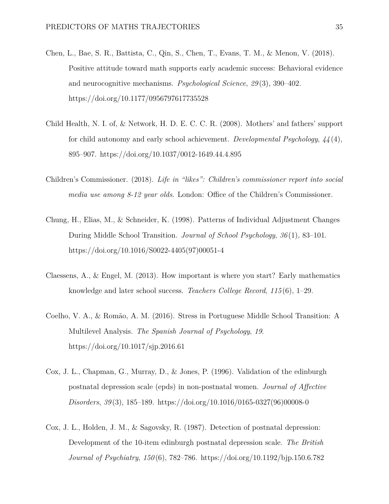- Chen, L., Bae, S. R., Battista, C., Qin, S., Chen, T., Evans, T. M., & Menon, V. (2018). Positive attitude toward math supports early academic success: Behavioral evidence and neurocognitive mechanisms. *Psychological Science*, *29* (3), 390–402. <https://doi.org/10.1177/0956797617735528>
- Child Health, N. I. of, & Network, H. D. E. C. C. R. (2008). Mothers' and fathers' support for child autonomy and early school achievement. *Developmental Psychology*, *44* (4), 895–907.<https://doi.org/10.1037/0012-1649.44.4.895>
- Children's Commissioner. (2018). *Life in "likes": Children's commissioner report into social media use among 8-12 year olds*. London: Office of the Children's Commissioner.
- Chung, H., Elias, M., & Schneider, K. (1998). Patterns of Individual Adjustment Changes During Middle School Transition. *Journal of School Psychology*, *36* (1), 83–101. [https://doi.org/10.1016/S0022-4405\(97\)00051-4](https://doi.org/10.1016/S0022-4405(97)00051-4)
- Claessens, A., & Engel, M. (2013). How important is where you start? Early mathematics knowledge and later school success. *Teachers College Record*, *115* (6), 1–29.
- Coelho, V. A., & Romão, A. M. (2016). Stress in Portuguese Middle School Transition: A Multilevel Analysis. *The Spanish Journal of Psychology*, *19*. <https://doi.org/10.1017/sjp.2016.61>
- Cox, J. L., Chapman, G., Murray, D., & Jones, P. (1996). Validation of the edinburgh postnatal depression scale (epds) in non-postnatal women. *Journal of Affective Disorders*, *39* (3), 185–189. [https://doi.org/10.1016/0165-0327\(96\)00008-0](https://doi.org/10.1016/0165-0327(96)00008-0)
- Cox, J. L., Holden, J. M., & Sagovsky, R. (1987). Detection of postnatal depression: Development of the 10-item edinburgh postnatal depression scale. *The British Journal of Psychiatry*, *150* (6), 782–786.<https://doi.org/10.1192/bjp.150.6.782>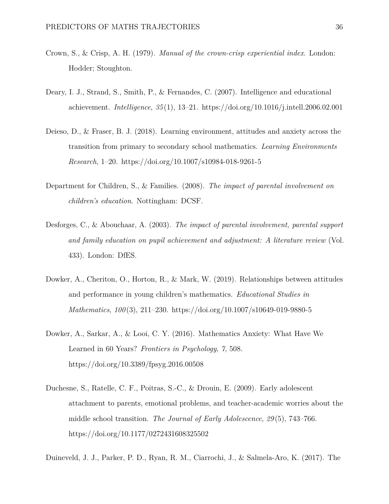- Crown, S., & Crisp, A. H. (1979). *Manual of the crown-crisp experiential index*. London: Hodder; Stoughton.
- Deary, I. J., Strand, S., Smith, P., & Fernandes, C. (2007). Intelligence and educational achievement. *Intelligence*, *35* (1), 13–21.<https://doi.org/10.1016/j.intell.2006.02.001>
- Deieso, D., & Fraser, B. J. (2018). Learning environment, attitudes and anxiety across the transition from primary to secondary school mathematics. *Learning Environments Research*, 1–20.<https://doi.org/10.1007/s10984-018-9261-5>
- Department for Children, S., & Families. (2008). *The impact of parental involvement on children's education*. Nottingham: DCSF.
- Desforges, C., & Abouchaar, A. (2003). *The impact of parental involvement, parental support and family education on pupil achievement and adjustment: A literature review* (Vol. 433). London: DfES.
- Dowker, A., Cheriton, O., Horton, R., & Mark, W. (2019). Relationships between attitudes and performance in young children's mathematics. *Educational Studies in Mathematics*, *100* (3), 211–230.<https://doi.org/10.1007/s10649-019-9880-5>
- Dowker, A., Sarkar, A., & Looi, C. Y. (2016). Mathematics Anxiety: What Have We Learned in 60 Years? *Frontiers in Psychology*, *7*, 508. <https://doi.org/10.3389/fpsyg.2016.00508>
- Duchesne, S., Ratelle, C. F., Poitras, S.-C., & Drouin, E. (2009). Early adolescent attachment to parents, emotional problems, and teacher-academic worries about the middle school transition. *The Journal of Early Adolescence*, *29* (5), 743–766. <https://doi.org/10.1177/0272431608325502>

Duineveld, J. J., Parker, P. D., Ryan, R. M., Ciarrochi, J., & Salmela-Aro, K. (2017). The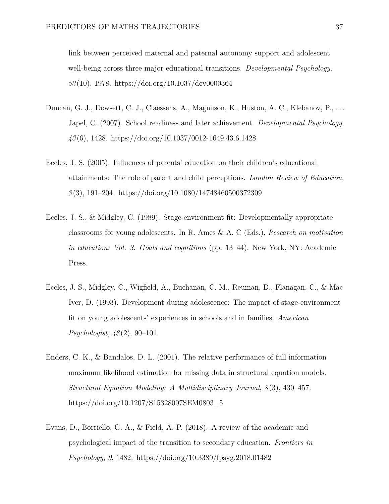link between perceived maternal and paternal autonomy support and adolescent well-being across three major educational transitions. *Developmental Psychology*, *53* (10), 1978.<https://doi.org/10.1037/dev0000364>

- Duncan, G. J., Dowsett, C. J., Claessens, A., Magnuson, K., Huston, A. C., Klebanov, P., . . . Japel, C. (2007). School readiness and later achievement. *Developmental Psychology*, *43* (6), 1428.<https://doi.org/10.1037/0012-1649.43.6.1428>
- Eccles, J. S. (2005). Influences of parents' education on their children's educational attainments: The role of parent and child perceptions. *London Review of Education*, *3* (3), 191–204.<https://doi.org/10.1080/14748460500372309>
- Eccles, J. S., & Midgley, C. (1989). Stage-environment fit: Developmentally appropriate classrooms for young adolescents. In R. Ames & A. C (Eds.), *Research on motivation in education: Vol. 3. Goals and cognitions* (pp. 13–44). New York, NY: Academic Press.
- Eccles, J. S., Midgley, C., Wigfield, A., Buchanan, C. M., Reuman, D., Flanagan, C., & Mac Iver, D. (1993). Development during adolescence: The impact of stage-environment fit on young adolescents' experiences in schools and in families. *American Psychologist*, *48* (2), 90–101.
- Enders, C. K., & Bandalos, D. L. (2001). The relative performance of full information maximum likelihood estimation for missing data in structural equation models. *Structural Equation Modeling: A Multidisciplinary Journal*, *8* (3), 430–457. [https://doi.org/10.1207/S15328007SEM0803\\_5](https://doi.org/10.1207/S15328007SEM0803_5)
- Evans, D., Borriello, G. A., & Field, A. P. (2018). A review of the academic and psychological impact of the transition to secondary education. *Frontiers in Psychology*, *9*, 1482.<https://doi.org/10.3389/fpsyg.2018.01482>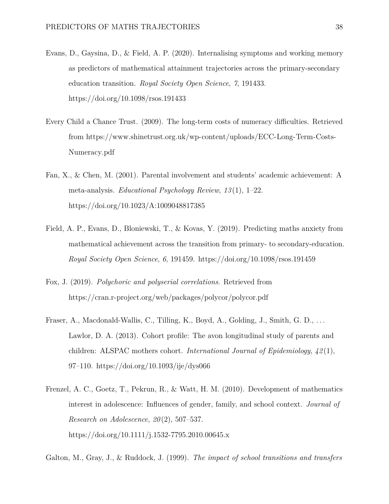- Evans, D., Gaysina, D., & Field, A. P. (2020). Internalising symptoms and working memory as predictors of mathematical attainment trajectories across the primary-secondary education transition. *Royal Society Open Science*, *7*, 191433. <https://doi.org/10.1098/rsos.191433>
- Every Child a Chance Trust. (2009). The long-term costs of numeracy difficulties. Retrieved from [https://www.shinetrust.org.uk/wp-content/uploads/ECC-Long-Term-Costs-](https://www.shinetrust.org.uk/wp-content/uploads/ECC-Long-Term-Costs-Numeracy.pdf)[Numeracy.pdf](https://www.shinetrust.org.uk/wp-content/uploads/ECC-Long-Term-Costs-Numeracy.pdf)
- Fan, X., & Chen, M. (2001). Parental involvement and students' academic achievement: A meta-analysis. *Educational Psychology Review*, *13* (1), 1–22. <https://doi.org/10.1023/A:1009048817385>
- Field, A. P., Evans, D., Bloniewski, T., & Kovas, Y. (2019). Predicting maths anxiety from mathematical achievement across the transition from primary- to secondary-education. *Royal Society Open Science*, *6*, 191459.<https://doi.org/10.1098/rsos.191459>
- Fox, J. (2019). *Polychoric and polyserial correlations*. Retrieved from <https://cran.r-project.org/web/packages/polycor/polycor.pdf>
- Fraser, A., Macdonald-Wallis, C., Tilling, K., Boyd, A., Golding, J., Smith, G. D., ... Lawlor, D. A. (2013). Cohort profile: The avon longitudinal study of parents and children: ALSPAC mothers cohort. *International Journal of Epidemiology*, *42* (1), 97–110.<https://doi.org/10.1093/ije/dys066>
- Frenzel, A. C., Goetz, T., Pekrun, R., & Watt, H. M. (2010). Development of mathematics interest in adolescence: Influences of gender, family, and school context. *Journal of Research on Adolescence*, *20* (2), 507–537. <https://doi.org/10.1111/j.1532-7795.2010.00645.x>

Galton, M., Gray, J., & Ruddock, J. (1999). *The impact of school transitions and transfers*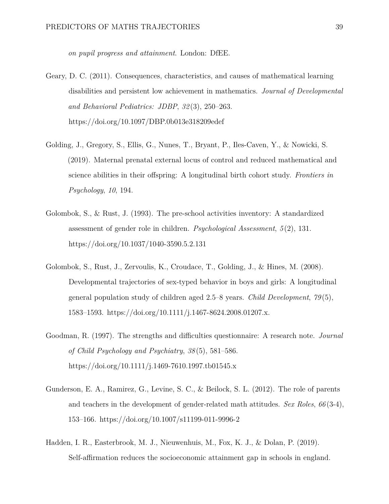*on pupil progress and attainment*. London: DfEE.

- Geary, D. C. (2011). Consequences, characteristics, and causes of mathematical learning disabilities and persistent low achievement in mathematics. *Journal of Developmental and Behavioral Pediatrics: JDBP*, *32* (3), 250–263. <https://doi.org/10.1097/DBP.0b013e318209edef>
- Golding, J., Gregory, S., Ellis, G., Nunes, T., Bryant, P., Iles-Caven, Y., & Nowicki, S. (2019). Maternal prenatal external locus of control and reduced mathematical and science abilities in their offspring: A longitudinal birth cohort study. *Frontiers in Psychology*, *10*, 194.
- Golombok, S., & Rust, J. (1993). The pre-school activities inventory: A standardized assessment of gender role in children. *Psychological Assessment*, *5* (2), 131. <https://doi.org/10.1037/1040-3590.5.2.131>
- Golombok, S., Rust, J., Zervoulis, K., Croudace, T., Golding, J., & Hines, M. (2008). Developmental trajectories of sex-typed behavior in boys and girls: A longitudinal general population study of children aged 2.5–8 years. *Child Development*, *79* (5), 1583–1593.<https://doi.org/10.1111/j.1467-8624.2008.01207.x.>
- Goodman, R. (1997). The strengths and difficulties questionnaire: A research note. *Journal of Child Psychology and Psychiatry*, *38* (5), 581–586. <https://doi.org/10.1111/j.1469-7610.1997.tb01545.x>
- Gunderson, E. A., Ramirez, G., Levine, S. C., & Beilock, S. L. (2012). The role of parents and teachers in the development of gender-related math attitudes. *Sex Roles*, *66* (3-4), 153–166.<https://doi.org/10.1007/s11199-011-9996-2>
- Hadden, I. R., Easterbrook, M. J., Nieuwenhuis, M., Fox, K. J., & Dolan, P. (2019). Self-affirmation reduces the socioeconomic attainment gap in schools in england.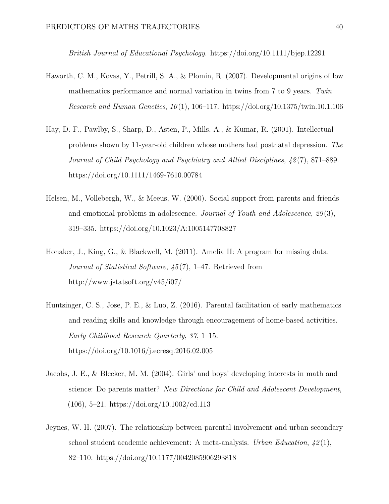*British Journal of Educational Psychology*.<https://doi.org/10.1111/bjep.12291>

- Haworth, C. M., Kovas, Y., Petrill, S. A., & Plomin, R. (2007). Developmental origins of low mathematics performance and normal variation in twins from 7 to 9 years. *Twin Research and Human Genetics*, *10* (1), 106–117.<https://doi.org/10.1375/twin.10.1.106>
- Hay, D. F., Pawlby, S., Sharp, D., Asten, P., Mills, A., & Kumar, R. (2001). Intellectual problems shown by 11-year-old children whose mothers had postnatal depression. *The Journal of Child Psychology and Psychiatry and Allied Disciplines*, *42* (7), 871–889. <https://doi.org/10.1111/1469-7610.00784>
- Helsen, M., Vollebergh, W., & Meeus, W. (2000). Social support from parents and friends and emotional problems in adolescence. *Journal of Youth and Adolescence*, *29* (3), 319–335.<https://doi.org/10.1023/A:1005147708827>
- Honaker, J., King, G., & Blackwell, M. (2011). Amelia II: A program for missing data. *Journal of Statistical Software*, *45* (7), 1–47. Retrieved from <http://www.jstatsoft.org/v45/i07/>
- Huntsinger, C. S., Jose, P. E., & Luo, Z. (2016). Parental facilitation of early mathematics and reading skills and knowledge through encouragement of home-based activities. *Early Childhood Research Quarterly*, *37*, 1–15. <https://doi.org/10.1016/j.ecresq.2016.02.005>
- Jacobs, J. E., & Bleeker, M. M. (2004). Girls' and boys' developing interests in math and science: Do parents matter? *New Directions for Child and Adolescent Development*,  $(106)$ , 5–21.<https://doi.org/10.1002/cd.113>
- Jeynes, W. H. (2007). The relationship between parental involvement and urban secondary school student academic achievement: A meta-analysis. *Urban Education*, *42* (1), 82–110.<https://doi.org/10.1177/0042085906293818>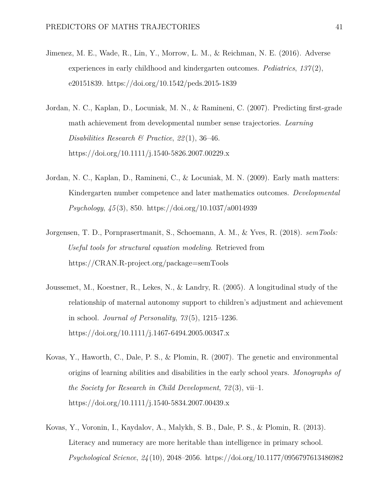- Jimenez, M. E., Wade, R., Lin, Y., Morrow, L. M., & Reichman, N. E. (2016). Adverse experiences in early childhood and kindergarten outcomes. *Pediatrics*, *137* (2), e20151839.<https://doi.org/10.1542/peds.2015-1839>
- Jordan, N. C., Kaplan, D., Locuniak, M. N., & Ramineni, C. (2007). Predicting first-grade math achievement from developmental number sense trajectories. *Learning Disabilities Research & Practice*, *22* (1), 36–46. <https://doi.org/10.1111/j.1540-5826.2007.00229.x>
- Jordan, N. C., Kaplan, D., Ramineni, C., & Locuniak, M. N. (2009). Early math matters: Kindergarten number competence and later mathematics outcomes. *Developmental Psychology*, *45* (3), 850.<https://doi.org/10.1037/a0014939>
- Jorgensen, T. D., Pornprasertmanit, S., Schoemann, A. M., & Yves, R. (2018). *semTools: Useful tools for structural equation modeling*. Retrieved from <https://CRAN.R-project.org/package=semTools>
- Joussemet, M., Koestner, R., Lekes, N., & Landry, R. (2005). A longitudinal study of the relationship of maternal autonomy support to children's adjustment and achievement in school. *Journal of Personality*, *73* (5), 1215–1236. <https://doi.org/10.1111/j.1467-6494.2005.00347.x>
- Kovas, Y., Haworth, C., Dale, P. S., & Plomin, R. (2007). The genetic and environmental origins of learning abilities and disabilities in the early school years. *Monographs of the Society for Research in Child Development*, *72* (3), vii–1. <https://doi.org/10.1111/j.1540-5834.2007.00439.x>
- Kovas, Y., Voronin, I., Kaydalov, A., Malykh, S. B., Dale, P. S., & Plomin, R. (2013). Literacy and numeracy are more heritable than intelligence in primary school. *Psychological Science*, *24* (10), 2048–2056.<https://doi.org/10.1177/0956797613486982>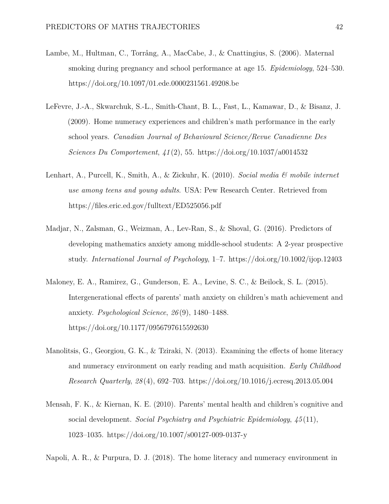- Lambe, M., Hultman, C., Torrång, A., MacCabe, J., & Cnattingius, S. (2006). Maternal smoking during pregnancy and school performance at age 15. *Epidemiology*, 524–530. <https://doi.org/10.1097/01.ede.0000231561.49208.be>
- LeFevre, J.-A., Skwarchuk, S.-L., Smith-Chant, B. L., Fast, L., Kamawar, D., & Bisanz, J. (2009). Home numeracy experiences and children's math performance in the early school years. *Canadian Journal of Behavioural Science/Revue Canadienne Des Sciences Du Comportement*, *41* (2), 55.<https://doi.org/10.1037/a0014532>
- Lenhart, A., Purcell, K., Smith, A., & Zickuhr, K. (2010). *Social media & mobile internet use among teens and young adults*. USA: Pew Research Center. Retrieved from <https://files.eric.ed.gov/fulltext/ED525056.pdf>
- Madjar, N., Zalsman, G., Weizman, A., Lev-Ran, S., & Shoval, G. (2016). Predictors of developing mathematics anxiety among middle-school students: A 2-year prospective study. *International Journal of Psychology*, 1–7.<https://doi.org/10.1002/ijop.12403>
- Maloney, E. A., Ramirez, G., Gunderson, E. A., Levine, S. C., & Beilock, S. L. (2015). Intergenerational effects of parents' math anxiety on children's math achievement and anxiety. *Psychological Science*, *26* (9), 1480–1488. <https://doi.org/10.1177/0956797615592630>
- Manolitsis, G., Georgiou, G. K., & Tziraki, N. (2013). Examining the effects of home literacy and numeracy environment on early reading and math acquisition. *Early Childhood Research Quarterly*, *28* (4), 692–703.<https://doi.org/10.1016/j.ecresq.2013.05.004>
- Mensah, F. K., & Kiernan, K. E. (2010). Parents' mental health and children's cognitive and social development. *Social Psychiatry and Psychiatric Epidemiology*, *45* (11), 1023–1035.<https://doi.org/10.1007/s00127-009-0137-y>

Napoli, A. R., & Purpura, D. J. (2018). The home literacy and numeracy environment in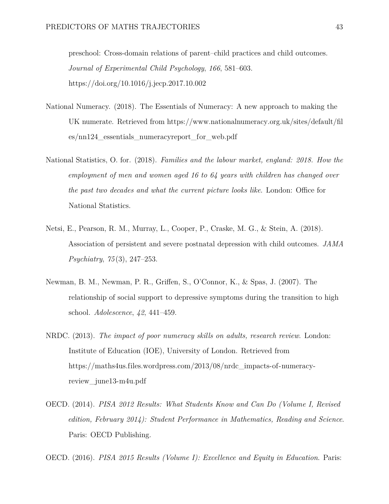preschool: Cross-domain relations of parent–child practices and child outcomes. *Journal of Experimental Child Psychology*, *166*, 581–603. <https://doi.org/10.1016/j.jecp.2017.10.002>

- National Numeracy. (2018). The Essentials of Numeracy: A new approach to making the UK numerate. Retrieved from [https://www.nationalnumeracy.org.uk/sites/default/fil](https://www.nationalnumeracy.org.uk/sites/default/files/nn124_essentials_numeracyreport_for_web.pdf) [es/nn124\\_essentials\\_numeracyreport\\_for\\_web.pdf](https://www.nationalnumeracy.org.uk/sites/default/files/nn124_essentials_numeracyreport_for_web.pdf)
- National Statistics, O. for. (2018). *Families and the labour market, england: 2018. How the employment of men and women aged 16 to 64 years with children has changed over the past two decades and what the current picture looks like*. London: Office for National Statistics.
- Netsi, E., Pearson, R. M., Murray, L., Cooper, P., Craske, M. G., & Stein, A. (2018). Association of persistent and severe postnatal depression with child outcomes. *JAMA Psychiatry*, *75* (3), 247–253.
- Newman, B. M., Newman, P. R., Griffen, S., O'Connor, K., & Spas, J. (2007). The relationship of social support to depressive symptoms during the transition to high school. *Adolescence*, *42*, 441–459.
- NRDC. (2013). *The impact of poor numeracy skills on adults, research review*. London: Institute of Education (IOE), University of London. Retrieved from [https://maths4us.files.wordpress.com/2013/08/nrdc\\_impacts-of-numeracy](https://maths4us.files.wordpress.com/2013/08/nrdc_impacts-of-numeracy-review_june13-m4u.pdf)[review\\_june13-m4u.pdf](https://maths4us.files.wordpress.com/2013/08/nrdc_impacts-of-numeracy-review_june13-m4u.pdf)
- OECD. (2014). *PISA 2012 Results: What Students Know and Can Do (Volume I, Revised edition, February 2014): Student Performance in Mathematics, Reading and Science*. Paris: OECD Publishing.

OECD. (2016). *PISA 2015 Results (Volume I): Excellence and Equity in Education*. Paris: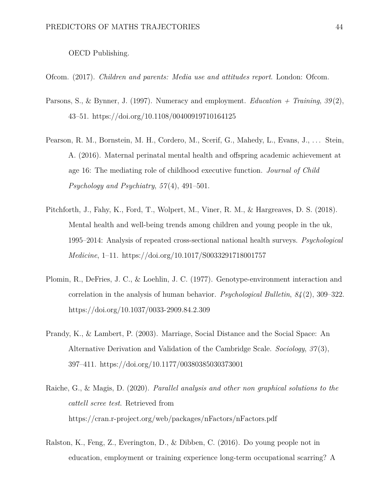OECD Publishing.

Ofcom. (2017). *Children and parents: Media use and attitudes report*. London: Ofcom.

- Parsons, S., & Bynner, J. (1997). Numeracy and employment. *Education + Training*, *39* (2), 43–51.<https://doi.org/10.1108/00400919710164125>
- Pearson, R. M., Bornstein, M. H., Cordero, M., Scerif, G., Mahedy, L., Evans, J., ... Stein, A. (2016). Maternal perinatal mental health and offspring academic achievement at age 16: The mediating role of childhood executive function. *Journal of Child Psychology and Psychiatry*, *57* (4), 491–501.
- Pitchforth, J., Fahy, K., Ford, T., Wolpert, M., Viner, R. M., & Hargreaves, D. S. (2018). Mental health and well-being trends among children and young people in the uk, 1995–2014: Analysis of repeated cross-sectional national health surveys. *Psychological Medicine*, 1–11.<https://doi.org/10.1017/S0033291718001757>
- Plomin, R., DeFries, J. C., & Loehlin, J. C. (1977). Genotype-environment interaction and correlation in the analysis of human behavior. *Psychological Bulletin*, *84* (2), 309–322. <https://doi.org/10.1037/0033-2909.84.2.309>
- Prandy, K., & Lambert, P. (2003). Marriage, Social Distance and the Social Space: An Alternative Derivation and Validation of the Cambridge Scale. *Sociology*, *37* (3), 397–411.<https://doi.org/10.1177/00380385030373001>
- Raiche, G., & Magis, D. (2020). *Parallel analysis and other non graphical solutions to the cattell scree test*. Retrieved from <https://cran.r-project.org/web/packages/nFactors/nFactors.pdf>
- Ralston, K., Feng, Z., Everington, D., & Dibben, C. (2016). Do young people not in education, employment or training experience long-term occupational scarring? A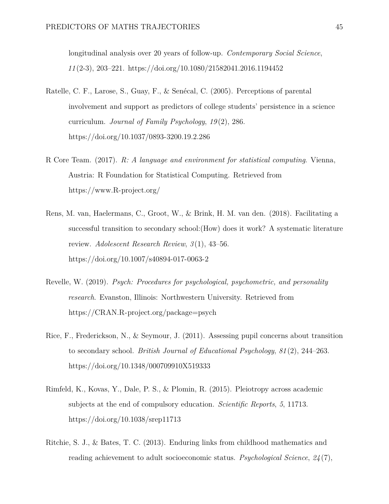longitudinal analysis over 20 years of follow-up. *Contemporary Social Science*, *11* (2-3), 203–221.<https://doi.org/10.1080/21582041.2016.1194452>

- Ratelle, C. F., Larose, S., Guay, F., & Senécal, C. (2005). Perceptions of parental involvement and support as predictors of college students' persistence in a science curriculum. *Journal of Family Psychology*, *19* (2), 286. <https://doi.org/10.1037/0893-3200.19.2.286>
- R Core Team. (2017). *R: A language and environment for statistical computing*. Vienna, Austria: R Foundation for Statistical Computing. Retrieved from <https://www.R-project.org/>
- Rens, M. van, Haelermans, C., Groot, W., & Brink, H. M. van den. (2018). Facilitating a successful transition to secondary school:(How) does it work? A systematic literature review. *Adolescent Research Review*, *3* (1), 43–56. <https://doi.org/10.1007/s40894-017-0063-2>
- Revelle, W. (2019). *Psych: Procedures for psychological, psychometric, and personality research*. Evanston, Illinois: Northwestern University. Retrieved from <https://CRAN.R-project.org/package=psych>
- Rice, F., Frederickson, N., & Seymour, J. (2011). Assessing pupil concerns about transition to secondary school. *British Journal of Educational Psychology*, *81* (2), 244–263. <https://doi.org/10.1348/000709910X519333>
- Rimfeld, K., Kovas, Y., Dale, P. S., & Plomin, R. (2015). Pleiotropy across academic subjects at the end of compulsory education. *Scientific Reports*, *5*, 11713. <https://doi.org/10.1038/srep11713>
- Ritchie, S. J., & Bates, T. C. (2013). Enduring links from childhood mathematics and reading achievement to adult socioeconomic status. *Psychological Science*, *24* (7),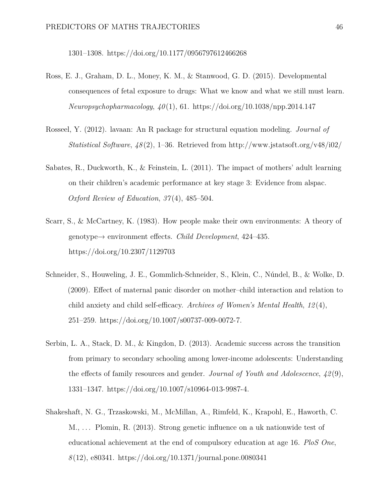1301–1308.<https://doi.org/10.1177/0956797612466268>

- Ross, E. J., Graham, D. L., Money, K. M., & Stanwood, G. D. (2015). Developmental consequences of fetal exposure to drugs: What we know and what we still must learn. *Neuropsychopharmacology*, *40* (1), 61.<https://doi.org/10.1038/npp.2014.147>
- Rosseel, Y. (2012). lavaan: An R package for structural equation modeling. *Journal of Statistical Software*, *48* (2), 1–36. Retrieved from<http://www.jstatsoft.org/v48/i02/>
- Sabates, R., Duckworth, K., & Feinstein, L. (2011). The impact of mothers' adult learning on their children's academic performance at key stage 3: Evidence from alspac. *Oxford Review of Education*, *37* (4), 485–504.
- Scarr, S., & McCartney, K. (1983). How people make their own environments: A theory of genotype→ environment effects. *Child Development*, 424–435. <https://doi.org/10.2307/1129703>
- Schneider, S., Houweling, J. E., Gommlich-Schneider, S., Klein, C., Núndel, B., & Wolke, D. (2009). Effect of maternal panic disorder on mother–child interaction and relation to child anxiety and child self-efficacy. *Archives of Women's Mental Health*, *12* (4), 251–259.<https://doi.org/10.1007/s00737-009-0072-7.>
- Serbin, L. A., Stack, D. M., & Kingdon, D. (2013). Academic success across the transition from primary to secondary schooling among lower-income adolescents: Understanding the effects of family resources and gender. *Journal of Youth and Adolescence*, *42* (9), 1331–1347.<https://doi.org/10.1007/s10964-013-9987-4.>
- Shakeshaft, N. G., Trzaskowski, M., McMillan, A., Rimfeld, K., Krapohl, E., Haworth, C. M., . . . Plomin, R. (2013). Strong genetic influence on a uk nationwide test of educational achievement at the end of compulsory education at age 16. *PloS One*, *8* (12), e80341.<https://doi.org/10.1371/journal.pone.0080341>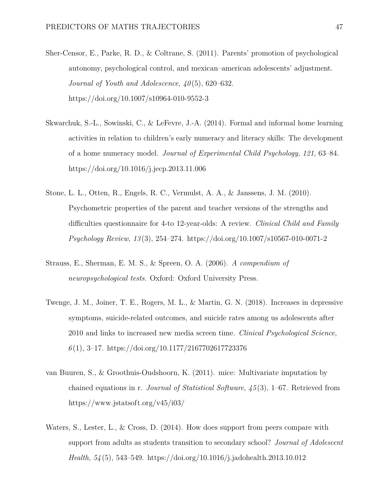- Sher-Censor, E., Parke, R. D., & Coltrane, S. (2011). Parents' promotion of psychological autonomy, psychological control, and mexican–american adolescents' adjustment. *Journal of Youth and Adolescence*, *40* (5), 620–632. <https://doi.org/10.1007/s10964-010-9552-3>
- Skwarchuk, S.-L., Sowinski, C., & LeFevre, J.-A. (2014). Formal and informal home learning activities in relation to children's early numeracy and literacy skills: The development of a home numeracy model. *Journal of Experimental Child Psychology*, *121*, 63–84. <https://doi.org/10.1016/j.jecp.2013.11.006>
- Stone, L. L., Otten, R., Engels, R. C., Vermulst, A. A., & Janssens, J. M. (2010). Psychometric properties of the parent and teacher versions of the strengths and difficulties questionnaire for 4-to 12-year-olds: A review. *Clinical Child and Family Psychology Review*, *13* (3), 254–274.<https://doi.org/10.1007/s10567-010-0071-2>
- Strauss, E., Sherman, E. M. S., & Spreen, O. A. (2006). *A compendium of neuropsychological tests*. Oxford: Oxford University Press.
- Twenge, J. M., Joiner, T. E., Rogers, M. L., & Martin, G. N. (2018). Increases in depressive symptoms, suicide-related outcomes, and suicide rates among us adolescents after 2010 and links to increased new media screen time. *Clinical Psychological Science*, *6* (1), 3–17.<https://doi.org/10.1177/2167702617723376>
- van Buuren, S., & Groothuis-Oudshoorn, K. (2011). mice: Multivariate imputation by chained equations in r. *Journal of Statistical Software*, *45* (3), 1–67. Retrieved from <https://www.jstatsoft.org/v45/i03/>
- Waters, S., Lester, L., & Cross, D. (2014). How does support from peers compare with support from adults as students transition to secondary school? *Journal of Adolescent Health*, *54* (5), 543–549.<https://doi.org/10.1016/j.jadohealth.2013.10.012>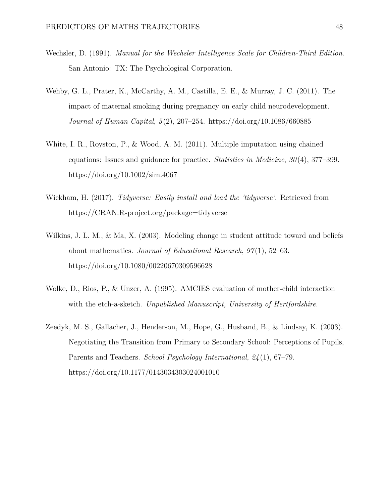- Wechsler, D. (1991). *Manual for the Wechsler Intelligence Scale for Children-Third Edition*. San Antonio: TX: The Psychological Corporation.
- Wehby, G. L., Prater, K., McCarthy, A. M., Castilla, E. E., & Murray, J. C. (2011). The impact of maternal smoking during pregnancy on early child neurodevelopment. *Journal of Human Capital*, *5* (2), 207–254.<https://doi.org/10.1086/660885>
- White, I. R., Royston, P., & Wood, A. M. (2011). Multiple imputation using chained equations: Issues and guidance for practice. *Statistics in Medicine*, *30* (4), 377–399. <https://doi.org/10.1002/sim.4067>
- Wickham, H. (2017). *Tidyverse: Easily install and load the 'tidyverse'*. Retrieved from <https://CRAN.R-project.org/package=tidyverse>
- Wilkins, J. L. M., & Ma, X. (2003). Modeling change in student attitude toward and beliefs about mathematics. *Journal of Educational Research*, *97* (1), 52–63. <https://doi.org/10.1080/00220670309596628>
- Wolke, D., Rios, P., & Unzer, A. (1995). AMCIES evaluation of mother-child interaction with the etch-a-sketch. *Unpublished Manuscript, University of Hertfordshire*.
- Zeedyk, M. S., Gallacher, J., Henderson, M., Hope, G., Husband, B., & Lindsay, K. (2003). Negotiating the Transition from Primary to Secondary School: Perceptions of Pupils, Parents and Teachers. *School Psychology International*, *24* (1), 67–79. <https://doi.org/10.1177/0143034303024001010>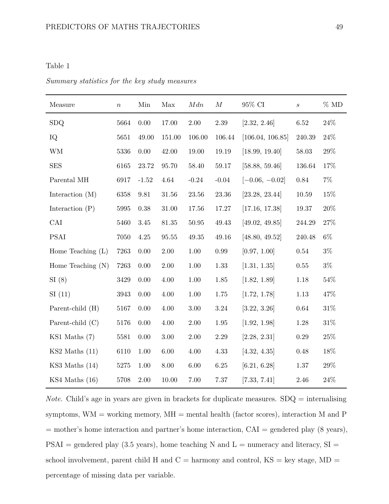#### <span id="page-49-0"></span>Table 1

| Measure             | $\, n$ | Min      | Max       | Mdn         | $\boldsymbol{M}$ | 95% CI           | $\mathcal{S}_{\mathcal{S}}$ | $\%$ MD |
|---------------------|--------|----------|-----------|-------------|------------------|------------------|-----------------------------|---------|
| <b>SDQ</b>          | 5664   | $0.00\,$ | 17.00     | $2.00\,$    | $2.39\,$         | [2.32, 2.46]     | 6.52                        | $24\%$  |
| IQ                  | 5651   | 49.00    | 151.00    | 106.00      | 106.44           | [106.04, 106.85] | 240.39                      | $24\%$  |
| <b>WM</b>           | 5336   | 0.00     | 42.00     | 19.00       | 19.19            | [18.99, 19.40]   | 58.03                       | 29\%    |
| <b>SES</b>          | 6165   | 23.72    | 95.70     | 58.40       | 59.17            | [58.88, 59.46]   | 136.64                      | 17%     |
| Parental MH         | 6917   | $-1.52$  | 4.64      | $-0.24$     | $-0.04$          | $[-0.06, -0.02]$ | $0.84\,$                    | $7\%$   |
| Interaction $(M)$   | 6358   | 9.81     | 31.56     | $23.56\,$   | $23.36\,$        | [23.28, 23.44]   | $10.59\,$                   | 15%     |
| Interaction $(P)$   | 5995   | 0.38     | $31.00\,$ | $17.56\,$   | $17.27\,$        | [17.16, 17.38]   | $19.37\,$                   | $20\%$  |
| CAI                 | 5460   | $3.45\,$ | $81.35\,$ | $50.95\,$   | $\rm 49.43$      | [49.02, 49.85]   | 244.29                      | $27\%$  |
| <b>PSAI</b>         | 7050   | $4.25\,$ | $95.55\,$ | $\rm 49.35$ | 49.16            | [48.80, 49.52]   | 240.48                      | $6\%$   |
| Home Teaching $(L)$ | 7263   | 0.00     | $2.00\,$  | $1.00\,$    | 0.99             | [0.97, 1.00]     | 0.54                        | $3\%$   |
| Home Teaching $(N)$ | 7263   | 0.00     | $2.00\,$  | $1.00\,$    | 1.33             | [1.31, 1.35]     | $0.55\,$                    | $3\%$   |
| SI(8)               | 3429   | 0.00     | 4.00      | 1.00        | $1.85\,$         | [1.82, 1.89]     | 1.18                        | 54\%    |
| SI(11)              | 3943   | 0.00     | 4.00      | $1.00\,$    | $1.75\,$         | [1.72, 1.78]     | $1.13\,$                    | 47%     |
| Parent-child (H)    | 5167   | 0.00     | 4.00      | $3.00\,$    | $3.24\,$         | [3.22, 3.26]     | $0.64\,$                    | $31\%$  |
| Parent-child (C)    | 5176   | 0.00     | 4.00      | 2.00        | 1.95             | [1.92, 1.98]     | 1.28                        | $31\%$  |
| KS1 Maths (7)       | 5581   | 0.00     | $3.00\,$  | $2.00\,$    | $2.29\,$         | [2.28, 2.31]     | $0.29\,$                    | $25\%$  |
| $KS2$ Maths $(11)$  | 6110   | 1.00     | $6.00\,$  | 4.00        | 4.33             | [4.32, 4.35]     | 0.48                        | 18%     |
| $KS3$ Maths $(14)$  | 5275   | 1.00     | 8.00      | $6.00\,$    | $6.25\,$         | [6.21, 6.28]     | 1.37                        | 29\%    |
| $KS4$ Maths $(16)$  | 5708   | 2.00     | 10.00     | 7.00        | 7.37             | [7.33, 7.41]     | 2.46                        | 24%     |

*Summary statistics for the key study measures*

*Note.* Child's age in years are given in brackets for duplicate measures. SDQ = internalising symptoms,  $WM =$  working memory,  $MH =$  mental health (factor scores), interaction  $M$  and  $P$ = mother's home interaction and partner's home interaction, CAI = gendered play (8 years),  $PSAI =$  gendered play (3.5 years), home teaching N and  $L =$  numeracy and literacy,  $SI =$ school involvement, parent child H and  $C =$  harmony and control,  $KS =$  key stage,  $MD =$ percentage of missing data per variable.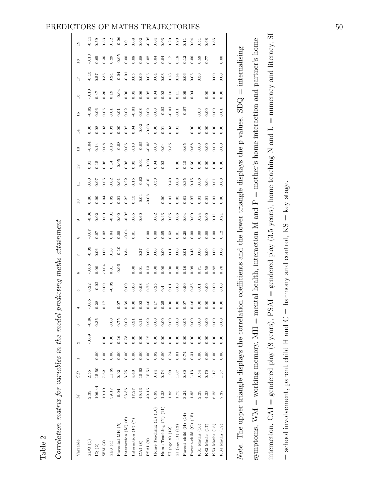## PREDICTORS OF MATHS TRAJECTORIES  $\begin{bmatrix} 1 & 1 \\ 1 & 2 \end{bmatrix}$  50

| Variable                   | $\overline{M}$ | S <sub>D</sub> |      | Z       | S       | 4       | P.      | G       | N       | $\infty$ | $\circ$ | $\overline{10}$ | $\Xi$   | 12                 | 14<br>$\frac{3}{2}$ | $\frac{15}{11}$ |          | 11<br>$\frac{6}{2}$ | $\frac{8}{18}$ |          | $\frac{9}{2}$ |
|----------------------------|----------------|----------------|------|---------|---------|---------|---------|---------|---------|----------|---------|-----------------|---------|--------------------|---------------------|-----------------|----------|---------------------|----------------|----------|---------------|
| SDQ(1)                     | 2.39           | 2.55           |      | $-0.09$ | $-0.06$ | $-0.05$ | 0.22    | $-0.06$ | $-0.09$ | $-0.07$  | $-0.06$ | 0.00            | 0.00    | $\overline{0}$ .01 | $-0.04$             | 0.00            | $-0.02$  | $-0.10$             | $-0.15$        | $-0.13$  | $-0.11$       |
| $\mathrm{IQ}$ (2)          | 106.44         | 15.50          | 0.00 |         | 0.35    | 0.28    | $-0.02$ | 0.00    | 0.06    | 0.07     | 0.02    | 0.09            | 0.07    | 0.15               | 0.14                | 0.08            | 0.06     | 0.47                | 0.57           | $0.65\,$ | 0.59          |
| WM(3)                      | 19.19          | 7.62           | 0.00 | 0.00    |         | 0.17    | 0.00    | $-0.04$ | 0.00    | 0.02     | 0.00    | 0.04            | 0.05    | 0.08               | 0.08                | 0.03            | 0.06     | 0.26                | 0.35           | 0.36     | 0.33          |
| (SES(4))                   | 59.17          | 11.69          | 0.00 | 0.00    | 0.00    |         | $-0.02$ | 0.01    | 0.10    | 0.04     | 0.01    | 0.02            | 0.02    | 0.14               | 0.16                | 0.03            | 0.01     | 0.19                | 0.24           | 0.29     | 0.32          |
| Parental MH (5)            | $-0.04$        | 0.92           | 0.00 | 0.16    | 0.75    | 70.07   |         | $-0.06$ | $-0.10$ | 0.00     | 0.00    | 0.01            | 0.01    | $-0.05$            | $-0.08$             | 0.00            | 0.01     | $-0.04$             | $-0.04$        | $-0.05$  | $-0.06$       |
| Interaction $(M)$ $(6)$    | 23.36          | 3.25           | 0.00 | 0.73    | 0.02    | 0.39    | 0.00    |         | 0.34    | $-0.04$  | $-0.02$ | 0.22            | 0.22    | 0.08               | 0.06                | 0.02            | 0.02     | 0.00                | $-0.01$        | 0.00     | 0.01          |
| Interaction $(P)$ $(7)$    | 17.27          | 4.40           | 0.00 | 0.00    | 0.91    | 0.00    | 0.00    | 0.00    |         | 0.01     | 0.05    | 0.15            | 0.15    | 0.05               | 0.10                | 0.04            | $-0.01$  | 0.05                | 0.05           | 0.08     | 0.08          |
| CAI(8)                     | 49.43          | 15.63          | 0.00 | 0.00    | 0.11    | 0.02    | 0.98    | 0.01    | 0.37    |          | 0.60    | $-0.04$         | $-0.03$ | $-0.01$            | $-0.05$             | $-0.02$         | 0.08     | 0.06                | 0.09           | 0.08     | 0.02          |
| PSAI(9)                    | 49.16          | 15.51          | 0.00 | 0.12    | 0.99    | 0.46    | 0.76    | 0.13    | 0.00    | 0.00     |         | $-0.03$         | $-0.01$ | $-0.03$            | $-0.03$             | $-0.03$         | 0.09     | 0.02                | 0.05           | 0.02     | $-0.02$       |
| Home Teaching $(L)$ $(10)$ | 0.99           | 0.74           | 0.92 | 0.00    | 0.00    | 0.17    | 0.25    | 0.00    | 0.00    | 0.00     | 0.02    |                 | 0.53    | 0.04               | 0.03                | 0.00            | 0.00     | 0.04                | 0.04           | 0.04     | 0.04          |
| Home Teaching (N) (11)     | 1.33           | 0.74           | 0.80 | 0.00    | 0.00    | 0.25    | 0.44    | 0.00    | 0.00    | 0.05     | 0.43    | 0.00            |         | 0.02               | 0.04                | 0.01            | $-0.02$  | 0.03                | 0.03           | 0.04     | 0.03          |
| SI (age 8) (12)            | 1.85           | 1.09           | 0.74 | 0.00    | 0.00    | 0.00    | 0.01    | 0.00    | 0.01    | 0.52     | 0.05    | 0.01            | 0.40    |                    | 0.35                | 0.03            | $-0.01$  | 0.10                | 0.13           | 0.17     | 0.20          |
| SI (age 11) (13)           | 1.75           | 1.07           | 0.01 | 0.00    | 0.00    | 0.00    | 0.00    | 0.00    | 0.00    | 0.01     | 0.06    | 0.05            | 0.03    | 0.00               |                     | 0.01            | $0.01\,$ | 0.11                | 0.14           | 0.18     | 0.20          |
| Parent-child (H) (14)      | 3.24           | 0.80           | 0.74 | 0.00    | 0.05    | 0.07    | 0.90    | 0.16    | 0.01    | 0.20     | 0.04    | 0.81            | 0.35    | 0.15               | 0.65                |                 | $-0.07$  | 0.09                | 0.06           | 0.12     | E             |
| Parent-child (C) (15)      | 1.95           | 1.13           | 0.31 | 0.00    | 0.00    | 0.46    | 0.35    | 0.09    | 0.48    | 0.00     | 0.00    | 0.97            | 0.15    | 0.60               | 0.68                | 0.00            |          | 0.04                | 0.05           | 0.06     | 0.04          |
| KS1 Maths (16)             | 2.29           | 0.54           | 0.00 | 0.00    | 0.00    | 0.00    | 0.01    | 0.71    | 0.00    | 0.00     | 0.24    | 0.01            | 0.06    | 0.00               | 0.00                | 0.00            | 0.03     |                     | 0.56           | 0.59     | 0.51          |
| KS2 Maths (17)             | 4.33           | 0.70           | 0.00 | 0.00    | 0.00    | 0.00    | 0.00    | 0.58    | 0.00    | 0.00     | 0.00    | 0.01            | 0.04    | 0.00               | 0.00                | 0.00            | 0.00     | 0.00                |                | 77.0     | 0.68          |
| KS3 Maths (18)             | 6.25           | 111            | 0.00 | 0.00    | 0.00    | 0.00    | 0.00    | 0.82    | 0.00    | 0.00     | 0.11    | 0.01            | 0.01    | 0.00               | 0.00                | 0.00            | 0.00     | 0.00                | 0.00           |          | 0.85          |
| KS4 Maths (19)             | 7.37           | 1.57           | 0.00 | 0.00    | 0.00    | 0.00    | 0.00    | 0.70    | 0.00    | 0.12     | 0.21    | 0.00            | 0.03    | 0.00               | 0.00                | 0.00            | 0.01     | 0.00                | 0.00           | 0.00     |               |
|                            |                |                |      |         |         |         |         |         |         |          |         |                 |         |                    |                     |                 |          |                     |                |          |               |

interaction,  $CAI =$  gendered play (8 years),  $PSAI =$  gendered play (3.5 years), home teaching N and L = numeracy and literacy, SI interaction, CAI = gendered play (8 years), PSAI = gendered play (3.5 years), home teaching N and L = numeracy and literacy, SI symptoms, WM = working memory, MH = mental health, interaction M and  $P =$  mother's home interaction and partner's home symptoms, WM = working memory, MH = mental health, interaction M and  $P =$  mother's home interaction and partner's home Note. The upper triangle displays the correlation coefficients and the lower triangle displays the p values.  $SDQ =$  internalising *Note.* The upper triangle displays the correlation coefficients and the lower triangle displays the p values. SDQ = internalising  $=$  school involvement, parent child H and  $C =$  harmony and control, KS  $=$  key stage.  $=$  school involvement, parent child H and  $C =$  harmony and control,  $KS =$  key stage.

# <span id="page-50-0"></span>Table 2

*Correlation matrix for variables in the model predicting maths attainment*

Correlation matrix for variables in the model predicting maths attainment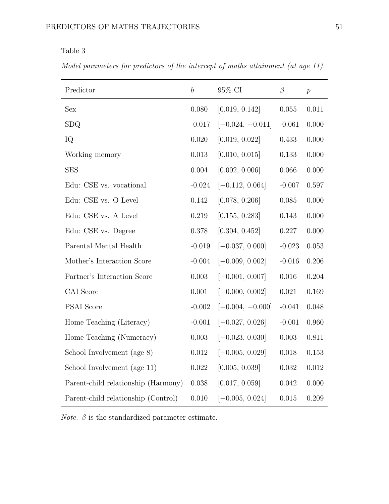<span id="page-51-0"></span>Table 3

*Model parameters for predictors of the intercept of maths attainment (at age 11).*

| Predictor                           | $\boldsymbol{b}$ | 95% CI             | $\beta$   | $\boldsymbol{p}$ |
|-------------------------------------|------------------|--------------------|-----------|------------------|
| <b>Sex</b>                          | 0.080            | [0.019, 0.142]     | 0.055     | 0.011            |
| <b>SDQ</b>                          | $-0.017$         | $[-0.024, -0.011]$ | $-0.061$  | 0.000            |
| IQ                                  | 0.020            | [0.019, 0.022]     | 0.433     | 0.000            |
| Working memory                      | 0.013            | [0.010, 0.015]     | 0.133     | 0.000            |
| <b>SES</b>                          | 0.004            | [0.002, 0.006]     | 0.066     | 0.000            |
| Edu: CSE vs. vocational             | $-0.024$         | $[-0.112, 0.064]$  | $-0.007$  | 0.597            |
| Edu: CSE vs. O Level                | 0.142            | [0.078, 0.206]     | 0.085     | 0.000            |
| Edu: CSE vs. A Level                | 0.219            | [0.155, 0.283]     | 0.143     | 0.000            |
| Edu: CSE vs. Degree                 | 0.378            | [0.304, 0.452]     | 0.227     | 0.000            |
| Parental Mental Health              | $-0.019$         | $[-0.037, 0.000]$  | $-0.023$  | 0.053            |
| Mother's Interaction Score          | $-0.004$         | $[-0.009, 0.002]$  | $-0.016$  | 0.206            |
| Partner's Interaction Score         | 0.003            | $[-0.001, 0.007]$  | 0.016     | 0.204            |
| CAI Score                           | 0.001            | $[-0.000, 0.002]$  | 0.021     | 0.169            |
| <b>PSAI</b> Score                   | $-0.002$         | $[-0.004, -0.000]$ | $-0.041$  | 0.048            |
| Home Teaching (Literacy)            | $-0.001$         | $[-0.027, 0.026]$  | $-0.001$  | 0.960            |
| Home Teaching (Numeracy)            | 0.003            | $[-0.023, 0.030]$  | 0.003     | 0.811            |
| School Involvement (age 8)          | 0.012            | $[-0.005, 0.029]$  | 0.018     | 0.153            |
| School Involvement (age 11)         | $0.022\,$        | [0.005, 0.039]     | $0.032\,$ | $0.012\,$        |
| Parent-child relationship (Harmony) | 0.038            | [0.017, 0.059]     | 0.042     | 0.000            |
| Parent-child relationship (Control) | 0.010            | $[-0.005, 0.024]$  | 0.015     | 0.209            |

 $Note.$   $\beta$  is the standardized parameter estimate.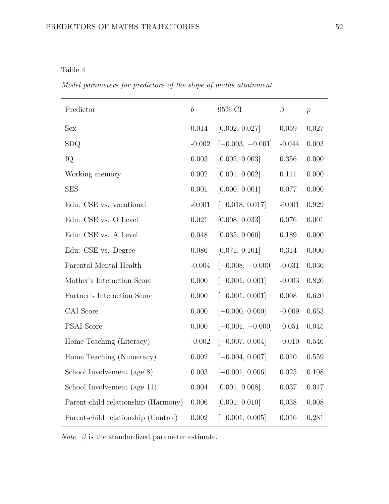### <span id="page-52-0"></span>Table 4

*Model parameters for predictors of the slope of maths attainment.*

| Predictor                           | $\boldsymbol{b}$ | 95% CI             | $\beta$   | $\,p\,$   |
|-------------------------------------|------------------|--------------------|-----------|-----------|
| <b>Sex</b>                          | 0.014            | [0.002, 0.027]     | $0.059\,$ | 0.027     |
| <b>SDQ</b>                          | $-0.002$         | $[-0.003, -0.001]$ | $-0.044$  | 0.003     |
| IQ                                  | 0.003            | [0.002, 0.003]     | $0.356\,$ | 0.000     |
| Working memory                      | $0.002\,$        | [0.001, 0.002]     | 0.111     | 0.000     |
| <b>SES</b>                          | 0.001            | [0.000, 0.001]     | 0.077     | 0.000     |
| Edu: CSE vs. vocational             | $-0.001$         | $[-0.018, 0.017]$  | $-0.001$  | 0.929     |
| Edu: CSE vs. O Level                | 0.021            | [0.008, 0.033]     | 0.076     | 0.001     |
| Edu: CSE vs. A Level                | 0.048            | [0.035, 0.060]     | 0.189     | 0.000     |
| Edu: CSE vs. Degree                 | 0.086            | [0.071, 0.101]     | 0.314     | 0.000     |
| Parental Mental Health              | $-0.004$         | $[-0.008, -0.000]$ | $-0.031$  | 0.036     |
| Mother's Interaction Score          | 0.000            | $[-0.001, 0.001]$  | $-0.003$  | 0.826     |
| Partner's Interaction Score         | 0.000            | $[-0.001, 0.001]$  | $0.008\,$ | 0.620     |
| CAI Score                           | 0.000            | $[-0.000, 0.000]$  | $-0.009$  | 0.653     |
| <b>PSAI</b> Score                   | 0.000            | $[-0.001, -0.000]$ | $-0.051$  | 0.045     |
| Home Teaching (Literacy)            | $-0.002$         | $[-0.007, 0.004]$  | $-0.010$  | 0.546     |
| Home Teaching (Numeracy)            | $0.002\,$        | $[-0.004, 0.007]$  | 0.010     | $0.559\,$ |
| School Involvement (age 8)          | $0.003\,$        | $[-0.001, 0.006]$  | $0.025\,$ | 0.108     |
| School Involvement (age 11)         | 0.004            | [0.001, 0.008]     | 0.037     | 0.017     |
| Parent-child relationship (Harmony) | $0.006\,$        | [0.001, 0.010]     | 0.038     | $0.008\,$ |
| Parent-child relationship (Control) | 0.002            | $[-0.001, 0.005]$  | 0.016     | 0.281     |

*Note.*  $\beta$  is the standardized parameter estimate.